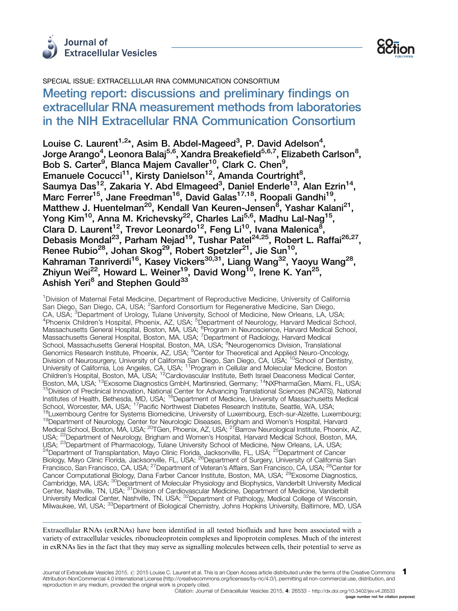



# SPECIAL ISSUE: EXTRACELLULAR RNA COMMUNICATION CONSORTIUM Meeting report: discussions and preliminary findings on extracellular RNA measurement methods from laboratories in the NIH Extracellular RNA Communication Consortium -

Louise C. Laurent $^{1,2*}$ , Asim B. Abdel-Mageed<sup>3</sup>, P. David Adelson<sup>4</sup>, Jorge Arango<sup>4</sup>, Leonora Balaj<sup>5,6</sup>, Xandra Breakefield<sup>5,6,7</sup>, Elizabeth Carlson<sup>8</sup>, Bob S. Carter<sup>9</sup>, Blanca Majem Cavaller<sup>10</sup>, Clark C. Chen<sup>9</sup>, Emanuele Cocucci<sup>11</sup>, Kirsty Danielson<sup>12</sup>, Amanda Courtright<sup>8</sup>, Saumya Das<sup>12</sup>, Zakaria Y. Abd Elmageed<sup>3</sup>, Daniel Enderle<sup>13</sup>, Alan Ezrin<sup>14</sup>, Marc Ferrer<sup>15</sup>, Jane Freedman<sup>16</sup>, David Galas<sup>17,18</sup>, Roopali Gandhi<sup>19</sup>, Matthew J. Huentelman<sup>20</sup>, Kendall Van Keuren-Jensen<sup>8</sup>, Yashar Kalani<sup>21</sup>, Yong Kim<sup>10</sup>, Anna M. Krichevsky<sup>22</sup>, Charles Lai<sup>5,6</sup>, Madhu Lal-Nag<sup>15</sup>, Clara D. Laurent<sup>12</sup>, Trevor Leonardo<sup>12</sup>, Feng Li<sup>10</sup>, Ivana Malenica<sup>8</sup>, Debasis Mondal<sup>23</sup>, Parham Nejad<sup>19</sup>, Tushar Patel<sup>24,25</sup>, Robert L. Raffai<sup>26,27</sup>, Renee Rubio<sup>28</sup>, Johan Skog<sup>29</sup>, Robert Spetzler<sup>21</sup>, Jie Sun<sup>10</sup>, Kahraman Tanriverdi<sup>16</sup>, Kasey Vickers<sup>30,31</sup>, Liang Wang<sup>32</sup>, Yaoyu Wang<sup>28</sup>, Zhiyun Wei<sup>22</sup>, Howard L. Weiner<sup>19</sup>, David Wong<sup>10</sup>, Irene K. Yan<sup>25</sup>, Ashish Yeri<sup>8</sup> and Stephen Gould<sup>33</sup>

<sup>1</sup>Division of Maternal Fetal Medicine, Department of Reproductive Medicine, University of California San Diego, San Diego, CA, USA; <sup>2</sup>Sanford Consortium for Regenerative Medicine, San Diego, CA, USĂ; <sup>3</sup>Department of Urology, Tulane University, School of Medicine, New Orleans, LA, USA;<br><sup>4</sup>Phoenix Children's Hospital, Phoenix, AZ, USA; <sup>5</sup>Department of Neurology, Harvard Medical School, Massachusetts General Hospital, Boston, MA, USA; <sup>6</sup>Program in Neuroscience, Harvard Medical School,<br>Massachusetts General Hospital, Boston, MA, USA; <sup>7</sup>Department of Radiology, Harvard Medical School, Massachusetts General Hospital, Boston, MA, USA; <sup>8</sup>Neurogenomics Division, Translational<br>Genomics Research Institute, Phoenix, AZ, USA; <sup>9</sup>Center for Theoretical and Applied Neuro-Oncology, Division of Neurosurgery, University of California San Diego, San Diego, CA, USA; <sup>10</sup>School of Dentistry, University of California, Los Angeles, CA, USA; 11Program in Cellular and Molecular Medicine, Boston Children's Hospital, Boston, MA, USA, <sup>12</sup>Cardiovascular Institute, Beth Israel Deaconess Medical Center, Boston, MA, USA; <sup>13</sup>Exosome Diagnostics GmbH, Martinsried, Germany; <sup>14</sup>NXPharmaGen, Miami, FL, USA; <sup>15</sup>Division of Preclinical Innovation, National Center for Advancing Translational Sciences (NCATS), National Institutes of Health, Bethesda, MD, USA; <sup>16</sup>Department of Medicine, University of Massachusetts Medical School, Worcester, MA, USA; <sup>17</sup>Pacific Northwest Diabetes Research Institute, Seattle, WA, USA; School, Worcester, MA, USA; <sup>17</sup>Pacific Northwest Diabetes Research Institute, Seattle, WA, USA;<br><sup>18</sup>Luxembourg Centre for Systems Biomedicine, University of Luxembourg, Esch-sur-Alzette, Luxembourg;<br><sup>19</sup>Department of Neur Medical School, Boston, MA, USA; <sup>20</sup>TGen, Phoenix, AZ, USA; <sup>21</sup>Barrow Neurological Institute, Phoenix, AZ, USA; <sup>22</sup>Department of Neurology, Brigham and Women's Hospital, Harvard Medical School, Boston, MA, USA; <sup>23</sup>Department of Pharmacology, Tulane University School of Medicine, New Orleans, LA, USA;<br><sup>24</sup>Department of Transplantation, Mayo Clinic Florida, Jacksonville, FL, USA; <sup>25</sup>Department of Cancer Biology, Mayo Clinic Florida, Jacksonville, FL, USA; <sup>26</sup>Department of Surgery, University of California San Francisco, San Francisco, CA, USA; <sup>27</sup>Department of Veteran's Affairs, San Francisco, CA, USA; <sup>28</sup>Center for Cancer Computational Biology, Dana Farber Cancer Institute, Boston, MA, USA; 29Exosome Diagnostics, Cambridge, MA, USA; <sup>30</sup>Department of Molecular Physiology and Biophysics, Vanderbilt University Medical Center, Nashville, TN, USA; <sup>31</sup>Division of Cardiovascular Medicine, Department of Medicine, Vanderbilt University Medical Center, Nashville, TN, USA; <sup>32</sup>Department of Pathology, Medical College of Wisconsin, Milwaukee, WI, USA; <sup>33</sup>Department of Biological Chemistry, Johns Hopkins University, Baltimore, MD, USA

Extracellular RNAs (exRNAs) have been identified in all tested biofluids and have been associated with a variety of extracellular vesicles, ribonucleoprotein complexes and lipoprotein complexes. Much of the interest in exRNAs lies in the fact that they may serve as signalling molecules between cells, their potential to serve as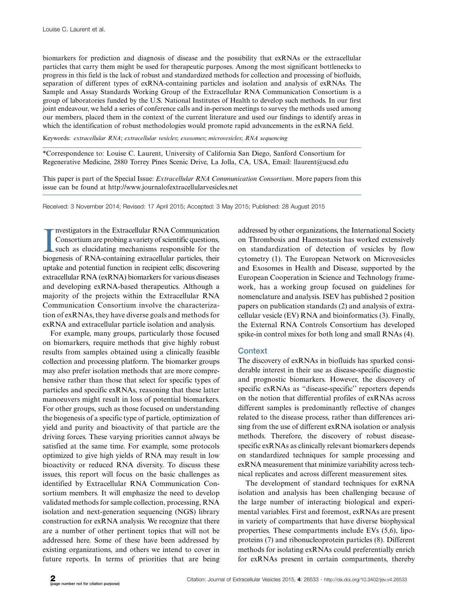<span id="page-1-0"></span>biomarkers for prediction and diagnosis of disease and the possibility that exRNAs or the extracellular particles that carry them might be used for therapeutic purposes. Among the most significant bottlenecks to progress in this field is the lack of robust and standardized methods for collection and processing of biofluids, separation of different types of exRNA-containing particles and isolation and analysis of exRNAs. The Sample and Assay Standards Working Group of the Extracellular RNA Communication Consortium is a group of laboratories funded by the U.S. National Institutes of Health to develop such methods. In our first joint endeavour, we held a series of conference calls and in-person meetings to survey the methods used among our members, placed them in the context of the current literature and used our findings to identify areas in which the identification of robust methodologies would promote rapid advancements in the exRNA field.

Keywords: extracellular RNA; extracellular vesicles; exosomes; microvesicles; RNA sequencing

\*Correspondence to: Louise C. Laurent, University of California San Diego, Sanford Consortium for Regenerative Medicine, 2880 Torrey Pines Scenic Drive, La Jolla, CA, USA, Email: llaurent@ucsd.edu

This paper is part of the Special Issue: *[Extracellular RNA Communication Consortium](http://www.journalofextracellularvesicles.net/index.php/jev/pages/view/special)*. More papers from this [issue can be found at http://www.journalofextracellularvesicles.net](http://www.journalofextracellularvesicles.net/index.php/jev/pages/view/special)

Received: 3 November 2014; Revised: 17 April 2015; Accepted: 3 May 2015; Published: 28 August 2015

Investigators in the Extracellular RNA Communication<br>Consortium are probing a variety of scientific questions,<br>such as elucidating mechanisms responsible for the<br>biogenesis of RNA-containing extracellular particles, their nvestigators in the Extracellular RNA Communication Consortium are probing avariety of scientific questions, such as elucidating mechanisms responsible for the uptake and potential function in recipient cells; discovering extracellular RNA (exRNA) biomarkers for various diseases and developing exRNA-based therapeutics. Although a majority of the projects within the Extracellular RNA Communication Consortium involve the characterization of exRNAs, they have diverse goals and methods for exRNA and extracellular particle isolation and analysis.

For example, many groups, particularly those focused on biomarkers, require methods that give highly robust results from samples obtained using a clinically feasible collection and processing platform. The biomarker groups may also prefer isolation methods that are more comprehensive rather than those that select for specific types of particles and specific exRNAs, reasoning that these latter manoeuvers might result in loss of potential biomarkers. For other groups, such as those focused on understanding the biogenesis of a specific type of particle, optimization of yield and purity and bioactivity of that particle are the driving forces. These varying priorities cannot always be satisfied at the same time. For example, some protocols optimized to give high yields of RNA may result in low bioactivity or reduced RNA diversity. To discuss these issues, this report will focus on the basic challenges as identified by Extracellular RNA Communication Consortium members. It will emphasize the need to develop validated methods for sample collection, processing, RNA isolation and next-generation sequencing (NGS) library construction for exRNA analysis. We recognize that there are a number of other pertinent topics that will not be addressed here. Some of these have been addressed by existing organizations, and others we intend to cover in future reports. In terms of priorities that are being

addressed by other organizations, the International Society on Thrombosis and Haemostasis has worked extensively on standardization of detection of vesicles by flow cytometry (1). The European Network on Microvesicles and Exosomes in Health and Disease, supported by the European Cooperation in Science and Technology framework, has a working group focused on guidelines for nomenclature and analysis. ISEV has published 2 position papers on publication standards (2) and analysis of extracellular vesicle (EV) RNA and bioinformatics (3). Finally, the External RNA Controls Consortium has developed spike-in control mixes for both long and small RNAs (4).

#### **Context**

The discovery of exRNAs in biofluids has sparked considerable interest in their use as disease-specific diagnostic and prognostic biomarkers. However, the discovery of specific exRNAs as ''disease-specific'' reporters depends on the notion that differential profiles of exRNAs across different samples is predominantly reflective of changes related to the disease process, rather than differences arising from the use of different exRNA isolation or analysis methods. Therefore, the discovery of robust diseasespecific exRNAs as clinically relevant biomarkers depends on standardized techniques for sample processing and exRNA measurement that minimize variability across technical replicates and across different measurement sites.

The development of standard techniques for exRNA isolation and analysis has been challenging because of the large number of interacting biological and experimental variables. First and foremost, exRNAs are present in variety of compartments that have diverse biophysical properties. These compartments include EVs (5,6), lipoproteins (7) and ribonucleoprotein particles (8). Different methods for isolating exRNAs could preferentially enrich for exRNAs present in certain compartments, thereby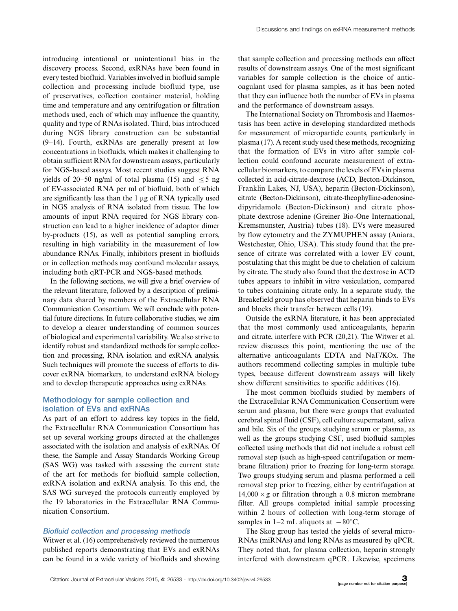introducing intentional or unintentional bias in the discovery process. Second, exRNAs have been found in every tested biofluid. Variables involved in biofluid sample collection and processing include biofluid type, use of preservatives, collection container material, holding time and temperature and any centrifugation or filtration methods used, each of which may influence the quantity, quality and type of RNAs isolated. Third, bias introduced during NGS library construction can be substantial (9-14). Fourth, exRNAs are generally present at low concentrations in biofluids, which makes it challenging to obtain sufficient RNA for downstream assays, particularly for NGS-based assays. Most recent studies suggest RNA yields of 20–50 ng/ml of total plasma (15) and  $\leq$ 5 ng of EV-associated RNA per ml of biofluid, both of which are significantly less than the  $1 \mu$ g of RNA typically used in NGS analysis of RNA isolated from tissue. The low amounts of input RNA required for NGS library construction can lead to a higher incidence of adaptor dimer by-products (15), as well as potential sampling errors, resulting in high variability in the measurement of low abundance RNAs. Finally, inhibitors present in biofluids or in collection methods may confound molecular assays, including both qRT-PCR and NGS-based methods.

In the following sections, we will give a brief overview of the relevant literature, followed by a description of preliminary data shared by members of the Extracellular RNA Communication Consortium. We will conclude with potential future directions. In future collaborative studies, we aim to develop a clearer understanding of common sources of biological and experimental variability. We also strive to identify robust and standardized methods for sample collection and processing, RNA isolation and exRNA analysis. Such techniques will promote the success of efforts to discover exRNA biomarkers, to understand exRNA biology and to develop therapeutic approaches using exRNAs.

# Methodology for sample collection and isolation of EVs and exRNAs

As part of an effort to address key topics in the field, the Extracellular RNA Communication Consortium has set up several working groups directed at the challenges associated with the isolation and analysis of exRNAs. Of these, the Sample and Assay Standards Working Group (SAS WG) was tasked with assessing the current state of the art for methods for biofluid sample collection, exRNA isolation and exRNA analysis. To this end, the SAS WG surveyed the protocols currently employed by the 19 laboratories in the Extracellular RNA Communication Consortium.

#### Biofluid collection and processing methods

Witwer et al. (16) comprehensively reviewed the numerous published reports demonstrating that EVs and exRNAs can be found in a wide variety of biofluids and showing that sample collection and processing methods can affect results of downstream assays. One of the most significant variables for sample collection is the choice of anticoagulant used for plasma samples, as it has been noted that they can influence both the number of EVs in plasma and the performance of downstream assays.

The International Society on Thrombosis and Haemostasis has been active in developing standardized methods for measurement of microparticle counts, particularly in plasma (17). A recent study used these methods, recognizing that the formation of EVs in vitro after sample collection could confound accurate measurement of extracellular biomarkers, to compare the levels of EVs in plasma collected in acid-citrate-dextrose (ACD, Becton-Dickinson, Franklin Lakes, NJ, USA), heparin (Becton-Dickinson), citrate (Becton-Dickinson), citrate-theophylline-adenosinedipyridamole (Becton-Dickinson) and citrate phosphate dextrose adenine (Greiner Bio-One International, Kremsmunster, Austria) tubes (18). EVs were measured by flow cytometry and the ZYMUPHEN assay (Aniara, Westchester, Ohio, USA). This study found that the presence of citrate was correlated with a lower EV count, postulating that this might be due to chelation of calcium by citrate. The study also found that the dextrose in ACD tubes appears to inhibit in vitro vesiculation, compared to tubes containing citrate only. In a separate study, the Breakefield group has observed that heparin binds to EVs and blocks their transfer between cells (19).

Outside the exRNA literature, it has been appreciated that the most commonly used anticoagulants, heparin and citrate, interfere with PCR (20,21). The Witwer et al. review discusses this point, mentioning the use of the alternative anticoagulants EDTA and NaF/KOx. The authors recommend collecting samples in multiple tube types, because different downstream assays will likely show different sensitivities to specific additives (16).

The most common biofluids studied by members of the Extracellular RNA Communication Consortium were serum and plasma, but there were groups that evaluated cerebral spinal fluid (CSF), cell culture supernatant, saliva and bile. Six of the groups studying serum or plasma, as well as the groups studying CSF, used biofluid samples collected using methods that did not include a robust cell removal step (such as high-speed centrifugation or membrane filtration) prior to freezing for long-term storage. Two groups studying serum and plasma performed a cell removal step prior to freezing, either by centrifugation at  $14,000 \times g$  or filtration through a 0.8 micron membrane filter. All groups completed initial sample processing within 2 hours of collection with long-term storage of samples in  $1-2$  mL aliquots at  $-80^{\circ}$ C.

The Skog group has tested the yields of several micro-RNAs (miRNAs) and long RNAs as measured by qPCR. They noted that, for plasma collection, heparin strongly interfered with downstream qPCR. Likewise, specimens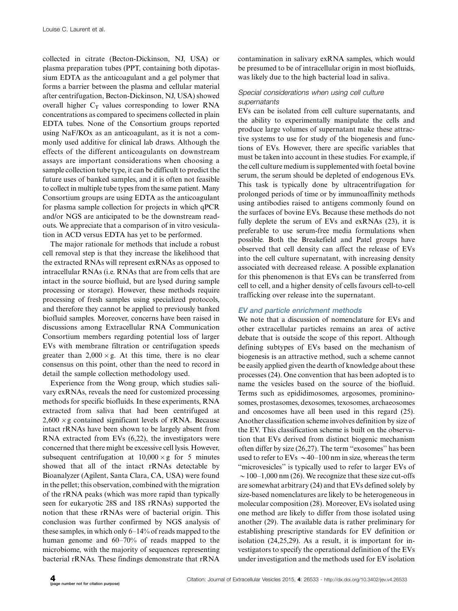collected in citrate (Becton-Dickinson, NJ, USA) or plasma preparation tubes (PPT, containing both dipotassium EDTA as the anticoagulant and a gel polymer that forms a barrier between the plasma and cellular material after centrifugation, Becton-Dickinson, NJ, USA) showed overall higher  $C_T$  values corresponding to lower RNA concentrations as compared to specimens collected in plain EDTA tubes. None of the Consortium groups reported using NaF/KOx as an anticoagulant, as it is not a commonly used additive for clinical lab draws. Although the effects of the different anticoagulants on downstream assays are important considerations when choosing a sample collection tube type, it can be difficult to predict the future uses of banked samples, and it is often not feasible to collect in multiple tube types from the same patient. Many Consortium groups are using EDTA as the anticoagulant for plasma sample collection for projects in which qPCR and/or NGS are anticipated to be the downstream readouts. We appreciate that a comparison of in vitro vesiculation in ACD versus EDTA has yet to be performed.

The major rationale for methods that include a robust cell removal step is that they increase the likelihood that the extracted RNAs will represent exRNAs as opposed to intracellular RNAs (i.e. RNAs that are from cells that are intact in the source biofluid, but are lysed during sample processing or storage). However, these methods require processing of fresh samples using specialized protocols, and therefore they cannot be applied to previously banked biofluid samples. Moreover, concerns have been raised in discussions among Extracellular RNA Communication Consortium members regarding potential loss of larger EVs with membrane filtration or centrifugation speeds greater than  $2,000 \times g$ . At this time, there is no clear consensus on this point, other than the need to record in detail the sample collection methodology used.

Experience from the Wong group, which studies salivary exRNAs, reveals the need for customized processing methods for specific biofluids. In these experiments, RNA extracted from saliva that had been centrifuged at  $2,600 \times g$  contained significant levels of rRNA. Because intact rRNAs have been shown to be largely absent from RNA extracted from EVs (6,22), the investigators were concerned that there might be excessive cell lysis. However, subsequent centrifugation at  $10,000 \times g$  for 5 minutes showed that all of the intact rRNAs detectable by Bioanalyzer (Agilent, Santa Clara, CA, USA) were found in the pellet; this observation, combined with the migration of the rRNA peaks (which was more rapid than typically seen for eukaryotic 28S and 18S rRNAs) supported the notion that these rRNAs were of bacterial origin. This conclusion was further confirmed by NGS analysis of these samples, in which only 6-14% of reads mapped to the human genome and 60-70% of reads mapped to the microbiome, with the majority of sequences representing bacterial rRNAs. These findings demonstrate that rRNA

contamination in salivary exRNA samples, which would be presumed to be of intracellular origin in most biofluids, was likely due to the high bacterial load in saliva.

# Special considerations when using cell culture supernatants

EVs can be isolated from cell culture supernatants, and the ability to experimentally manipulate the cells and produce large volumes of supernatant make these attractive systems to use for study of the biogenesis and functions of EVs. However, there are specific variables that must be taken into account in these studies. For example, if the cell culture medium is supplemented with foetal bovine serum, the serum should be depleted of endogenous EVs. This task is typically done by ultracentrifugation for prolonged periods of time or by immunoaffinity methods using antibodies raised to antigens commonly found on the surfaces of bovine EVs. Because these methods do not fully deplete the serum of EVs and exRNAs (23), it is preferable to use serum-free media formulations when possible. Both the Breakefield and Patel groups have observed that cell density can affect the release of EVs into the cell culture supernatant, with increasing density associated with decreased release. A possible explanation for this phenomenon is that EVs can be transferred from cell to cell, and a higher density of cells favours cell-to-cell trafficking over release into the supernatant.

# EV and particle enrichment methods

We note that a discussion of nomenclature for EVs and other extracellular particles remains an area of active debate that is outside the scope of this report. Although defining subtypes of EVs based on the mechanism of biogenesis is an attractive method, such a scheme cannot be easily applied given the dearth of knowledge about these processes (24). One convention that has been adopted is to name the vesicles based on the source of the biofluid. Terms such as epididimosomes, argosomes, promininosomes, prostasomes, dexosomes, texosomes, archaeosomes and oncosomes have all been used in this regard (25). Another classification scheme involves definition by size of the EV. This classification scheme is built on the observation that EVs derived from distinct biogenic mechanism often differ by size (26,27). The term ''exosomes'' has been used to refer to EVs  $\sim$  40–100 nm in size, whereas the term "microvesicles" is typically used to refer to larger EVs of  $\sim$  100–1,000 nm (26). We recognize that these size cut-offs are somewhat arbitrary (24) and that EVs defined solely by size-based nomenclatures are likely to be heterogeneous in molecular composition (28). Moreover, EVs isolated using one method are likely to differ from those isolated using another (29). The available data is rather preliminary for establishing prescriptive standards for EV definition or isolation (24,25,29). As a result, it is important for investigators to specify the operational definition of the EVs under investigation and the methods used for EV isolation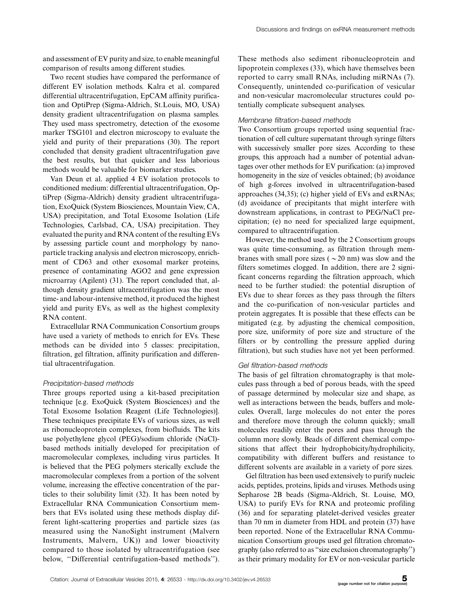and assessment of EV purity and size, to enable meaningful comparison of results among different studies.

Two recent studies have compared the performance of different EV isolation methods. Kalra et al. compared differential ultracentrifugation, EpCAM affinity purification and OptiPrep (Sigma-Aldrich, St.Louis, MO, USA) density gradient ultracentrifugation on plasma samples. They used mass spectrometry, detection of the exosome marker TSG101 and electron microscopy to evaluate the yield and purity of their preparations (30). The report concluded that density gradient ultracentrifugation gave the best results, but that quicker and less laborious methods would be valuable for biomarker studies.

Van Deun et al. applied 4 EV isolation protocols to conditioned medium: differential ultracentrifugation, OptiPrep (Sigma-Aldrich) density gradient ultracentrifugation, ExoQuick (System Biosciences, Mountain View, CA, USA) precipitation, and Total Exosome Isolation (Life Technologies, Carlsbad, CA, USA) precipitation. They evaluated the purity and RNA content of the resulting EVs by assessing particle count and morphology by nanoparticle tracking analysis and electron microscopy, enrichment of CD63 and other exosomal marker proteins, presence of contaminating AGO2 and gene expression microarray (Agilent) (31). The report concluded that, although density gradient ultracentrifugation was the most time- and labour-intensive method, it produced the highest yield and purity EVs, as well as the highest complexity RNA content.

Extracellular RNA Communication Consortium groups have used a variety of methods to enrich for EVs. These methods can be divided into 5 classes: precipitation, filtration, gel filtration, affinity purification and differential ultracentrifugation.

#### Precipitation-based methods

Three groups reported using a kit-based precipitation technique [e.g. ExoQuick (System Biosciences) and the Total Exosome Isolation Reagent (Life Technologies)]. These techniques precipitate EVs of various sizes, as well as ribonucleoprotein complexes, from biofluids. The kits use polyethylene glycol (PEG)/sodium chloride (NaCl) based methods initially developed for precipitation of macromolecular complexes, including virus particles. It is believed that the PEG polymers sterically exclude the macromolecular complexes from a portion of the solvent volume, increasing the effective concentration of the particles to their solubility limit (32). It has been noted by Extracellular RNA Communication Consortium members that EVs isolated using these methods display different light-scattering properties and particle sizes (as measured using the NanoSight instrument (Malvern Instruments, Malvern, UK)) and lower bioactivity compared to those isolated by ultracentrifugation (see below, ''Differential centrifugation-based methods'').

These methods also sediment ribonucleoprotein and lipoprotein complexes (33), which have themselves been reported to carry small RNAs, including miRNAs (7). Consequently, unintended co-purification of vesicular and non-vesicular macromolecular structures could potentially complicate subsequent analyses.

## Membrane filtration-based methods

Two Consortium groups reported using sequential fractionation of cell culture supernatant through syringe filters with successively smaller pore sizes. According to these groups, this approach had a number of potential advantages over other methods for EV purification: (a) improved homogeneity in the size of vesicles obtained; (b) avoidance of high g-forces involved in ultracentrifugation-based approaches (34,35); (c) higher yield of EVs and exRNAs; (d) avoidance of precipitants that might interfere with downstream applications, in contrast to PEG/NaCl precipitation; (e) no need for specialized large equipment, compared to ultracentrifugation.

However, the method used by the 2 Consortium groups was quite time-consuming, as filtration through membranes with small pore sizes ( $\sim$  20 nm) was slow and the filters sometimes clogged. In addition, there are 2 significant concerns regarding the filtration approach, which need to be further studied: the potential disruption of EVs due to shear forces as they pass through the filters and the co-purification of non-vesicular particles and protein aggregates. It is possible that these effects can be mitigated (e.g. by adjusting the chemical composition, pore size, uniformity of pore size and structure of the filters or by controlling the pressure applied during filtration), but such studies have not yet been performed.

#### Gel filtration-based methods

The basis of gel filtration chromatography is that molecules pass through a bed of porous beads, with the speed of passage determined by molecular size and shape, as well as interactions between the beads, buffers and molecules. Overall, large molecules do not enter the pores and therefore move through the column quickly; small molecules readily enter the pores and pass through the column more slowly. Beads of different chemical compositions that affect their hydrophobicity/hydrophilicity, compatibility with different buffers and resistance to different solvents are available in a variety of pore sizes.

Gel filtration has been used extensively to purify nucleic acids, peptides, proteins, lipids and viruses. Methods using Sepharose 2B beads (Sigma-Aldrich, St. Louise, MO, USA) to purify EVs for RNA and proteomic profiling (36) and for separating platelet-derived vesicles greater than 70 nm in diameter from HDL and protein (37) have been reported. None of the Extracellular RNA Communication Consortium groups used gel filtration chromatography (also referred to as ''size exclusion chromatography'') as their primary modality for EV or non-vesicular particle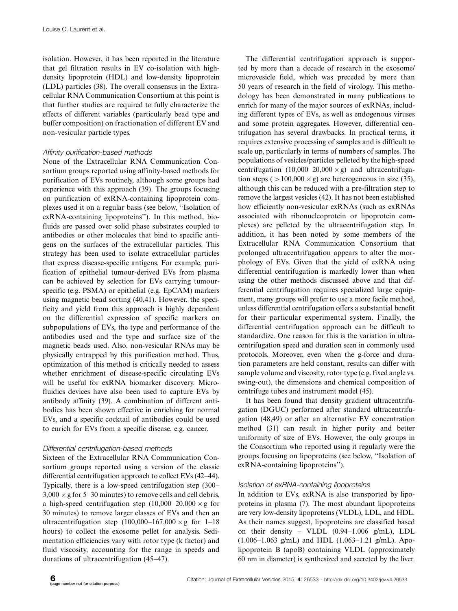isolation. However, it has been reported in the literature that gel filtration results in EV co-isolation with highdensity lipoprotein (HDL) and low-density lipoprotein (LDL) particles (38). The overall consensus in the Extracellular RNA Communication Consortium at this point is that further studies are required to fully characterize the effects of different variables (particularly bead type and buffer composition) on fractionation of different EV and non-vesicular particle types.

#### Affinity purification-based methods

None of the Extracellular RNA Communication Consortium groups reported using affinity-based methods for purification of EVs routinely, although some groups had experience with this approach (39). The groups focusing on purification of exRNA-containing lipoprotein complexes used it on a regular basis (see below, ''Isolation of exRNA-containing lipoproteins''). In this method, biofluids are passed over solid phase substrates coupled to antibodies or other molecules that bind to specific antigens on the surfaces of the extracellular particles. This strategy has been used to isolate extracellular particles that express disease-specific antigens. For example, purification of epithelial tumour-derived EVs from plasma can be achieved by selection for EVs carrying tumourspecific (e.g. PSMA) or epithelial (e.g. EpCAM) markers using magnetic bead sorting (40,41). However, the specificity and yield from this approach is highly dependent on the differential expression of specific markers on subpopulations of EVs, the type and performance of the antibodies used and the type and surface size of the magnetic beads used. Also, non-vesicular RNAs may be physically entrapped by this purification method. Thus, optimization of this method is critically needed to assess whether enrichment of disease-specific circulating EVs will be useful for exRNA biomarker discovery. Microfluidics devices have also been used to capture EVs by antibody affinity (39). A combination of different antibodies has been shown effective in enriching for normal EVs, and a specific cocktail of antibodies could be used to enrich for EVs from a specific disease, e.g. cancer.

#### Differential centrifugation-based methods

Sixteen of the Extracellular RNA Communication Consortium groups reported using a version of the classic differential centrifugation approach to collect EVs (42-44). Typically, there is a low-speed centrifugation step (300-  $3,000 \times g$  for 5–30 minutes) to remove cells and cell debris, a high-speed centrifugation step  $(10,000-20,000 \times g$  for 30 minutes) to remove larger classes of EVs and then an ultracentrifugation step  $(100,000-167,000 \times g$  for 1-18 hours) to collect the exosome pellet for analysis. Sedimentation efficiencies vary with rotor type (k factor) and fluid viscosity, accounting for the range in speeds and durations of ultracentrifugation (45-47).

The differential centrifugation approach is supported by more than a decade of research in the exosome/ microvesicle field, which was preceded by more than 50 years of research in the field of virology. This methodology has been demonstrated in many publications to enrich for many of the major sources of exRNAs, including different types of EVs, as well as endogenous viruses and some protein aggregates. However, differential centrifugation has several drawbacks. In practical terms, it requires extensive processing of samples and is difficult to scale up, particularly in terms of numbers of samples. The populations of vesicles/particles pelleted by the high-speed centrifugation  $(10,000-20,000 \times g)$  and ultracentrifugation steps ( $>100,000 \times g$ ) are heterogeneous in size (35), although this can be reduced with a pre-filtration step to remove the largest vesicles (42). It has not been established how efficiently non-vesicular exRNAs (such as exRNAs associated with ribonucleoprotein or lipoprotein complexes) are pelleted by the ultracentrifugation step. In addition, it has been noted by some members of the Extracellular RNA Communication Consortium that prolonged ultracentrifugation appears to alter the morphology of EVs. Given that the yield of exRNA using differential centrifugation is markedly lower than when using the other methods discussed above and that differential centrifugation requires specialized large equipment, many groups will prefer to use a more facile method, unless differential centrifugation offers a substantial benefit for their particular experimental system. Finally, the differential centrifugation approach can be difficult to standardize. One reason for this is the variation in ultracentrifugation speed and duration seen in commonly used protocols. Moreover, even when the g-force and duration parameters are held constant, results can differ with sample volume and viscosity, rotor type (e.g. fixed angle vs. swing-out), the dimensions and chemical composition of centrifuge tubes and instrument model (45).

It has been found that density gradient ultracentrifugation (DGUC) performed after standard ultracentrifugation (48,49) or after an alternative EV concentration method (31) can result in higher purity and better uniformity of size of EVs. However, the only groups in the Consortium who reported using it regularly were the groups focusing on lipoproteins (see below, ''Isolation of exRNA-containing lipoproteins'').

#### Isolation of exRNA-containing lipoproteins

In addition to EVs, exRNA is also transported by lipoproteins in plasma (7). The most abundant lipoproteins are very low-density lipoproteins (VLDL), LDL, and HDL. As their names suggest, lipoproteins are classified based on their density - VLDL (0.94-1.006 g/mL), LDL (1.006-1.063 g/mL) and HDL (1.063-1.21 g/mL). Apolipoprotein B (apoB) containing VLDL (approximately 60 nm in diameter) is synthesized and secreted by the liver.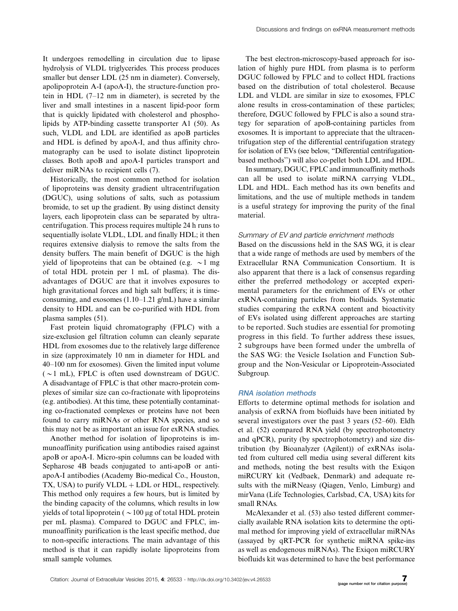It undergoes remodelling in circulation due to lipase hydrolysis of VLDL triglycerides. This process produces smaller but denser LDL (25 nm in diameter). Conversely, apolipoprotein A-I (apoA-I), the structure-function protein in HDL (7-12 nm in diameter), is secreted by the liver and small intestines in a nascent lipid-poor form that is quickly lipidated with cholesterol and phospholipids by ATP-binding cassette transporter A1 (50). As such, VLDL and LDL are identified as apoB particles and HDL is defined by apoA-I, and thus affinity chromatography can be used to isolate distinct lipoprotein classes. Both apoB and apoA-I particles transport and deliver miRNAs to recipient cells (7).

Historically, the most common method for isolation of lipoproteins was density gradient ultracentrifugation (DGUC), using solutions of salts, such as potassium bromide, to set up the gradient. By using distinct density layers, each lipoprotein class can be separated by ultracentrifugation. This process requires multiple 24 h runs to sequentially isolate VLDL, LDL and finally HDL; it then requires extensive dialysis to remove the salts from the density buffers. The main benefit of DGUC is the high yield of lipoproteins that can be obtained (e.g.  $\sim$  1 mg of total HDL protein per 1 mL of plasma). The disadvantages of DGUC are that it involves exposures to high gravitational forces and high salt buffers; it is timeconsuming, and exosomes (1.10-1.21 g/mL) have a similar density to HDL and can be co-purified with HDL from plasma samples (51).

Fast protein liquid chromatography (FPLC) with a size-exclusion gel filtration column can cleanly separate HDL from exosomes due to the relatively large difference in size (approximately 10 nm in diameter for HDL and 40-100 nm for exosomes). Given the limited input volume  $({\sim}1$  mL), FPLC is often used downstream of DGUC. A disadvantage of FPLC is that other macro-protein complexes of similar size can co-fractionate with lipoproteins (e.g. antibodies). At this time, these potentially contaminating co-fractionated complexes or proteins have not been found to carry miRNAs or other RNA species, and so this may not be as important an issue for exRNA studies.

Another method for isolation of lipoproteins is immunoaffinity purification using antibodies raised against apoB or apoA-I. Micro-spin columns can be loaded with Sepharose 4B beads conjugated to anti-apoB or antiapoA-I antibodies (Academy Bio-medical Co., Houston, TX, USA) to purify  $VLDL + LDL$  or HDL, respectively. This method only requires a few hours, but is limited by the binding capacity of the columns, which results in low yields of total lipoprotein (  $\sim$  100  $\mu$ g of total HDL protein per mL plasma). Compared to DGUC and FPLC, immunoaffinity purification is the least specific method, due to non-specific interactions. The main advantage of this method is that it can rapidly isolate lipoproteins from small sample volumes.

The best electron-microscopy-based approach for isolation of highly pure HDL from plasma is to perform DGUC followed by FPLC and to collect HDL fractions based on the distribution of total cholesterol. Because LDL and VLDL are similar in size to exosomes, FPLC alone results in cross-contamination of these particles; therefore, DGUC followed by FPLC is also a sound strategy for separation of apoB-containing particles from exosomes. It is important to appreciate that the ultracentrifugation step of the differential centrifugation strategy for isolation of EVs (see below, ''Differential centrifugationbased methods'') will also co-pellet both LDL and HDL.

In summary, DGUC, FPLC and immunoaffinity methods can all be used to isolate miRNA carrying VLDL, LDL and HDL. Each method has its own benefits and limitations, and the use of multiple methods in tandem is a useful strategy for improving the purity of the final material.

#### Summary of EV and particle enrichment methods

Based on the discussions held in the SAS WG, it is clear that a wide range of methods are used by members of the Extracellular RNA Communication Consortium. It is also apparent that there is a lack of consensus regarding either the preferred methodology or accepted experimental parameters for the enrichment of EVs or other exRNA-containing particles from biofluids. Systematic studies comparing the exRNA content and bioactivity of EVs isolated using different approaches are starting to be reported. Such studies are essential for promoting progress in this field. To further address these issues, 2 subgroups have been formed under the umbrella of the SAS WG: the Vesicle Isolation and Function Subgroup and the Non-Vesicular or Lipoprotein-Associated Subgroup.

#### RNA isolation methods

Efforts to determine optimal methods for isolation and analysis of exRNA from biofluids have been initiated by several investigators over the past 3 years (52-60). Eldh et al. (52) compared RNA yield (by spectrophotometry and qPCR), purity (by spectrophotometry) and size distribution (by Bioanalyzer (Agilent)) of exRNAs isolated from cultured cell media using several different kits and methods, noting the best results with the Exiqon miRCURY kit (Vedbaek, Denmark) and adequate results with the miRNeasy (Qiagen, Venlo, Limburg) and mirVana (Life Technologies, Carlsbad, CA, USA) kits for small RNAs.

McAlexander et al. (53) also tested different commercially available RNA isolation kits to determine the optimal method for improving yield of extracellular miRNAs (assayed by qRT-PCR for synthetic miRNA spike-ins as well as endogenous miRNAs). The Exiqon miRCURY biofluids kit was determined to have the best performance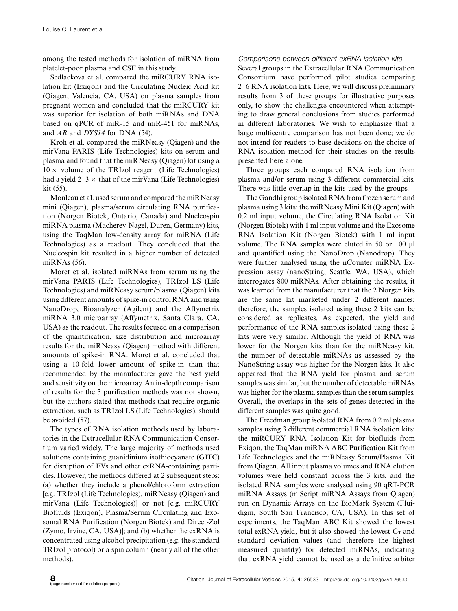among the tested methods for isolation of miRNA from platelet-poor plasma and CSF in this study.

Sedlackova et al. compared the miRCURY RNA isolation kit (Exiqon) and the Circulating Nucleic Acid kit (Qiagen, Valencia, CA, USA) on plasma samples from pregnant women and concluded that the miRCURY kit was superior for isolation of both miRNAs and DNA based on qPCR of miR-15 and miR-451 for miRNAs, and AR and DYS14 for DNA (54).

Kroh et al. compared the miRNeasy (Qiagen) and the mirVana PARIS (Life Technologies) kits on serum and plasma and found that the miRNeasy (Qiagen) kit using a  $10 \times$  volume of the TRIzol reagent (Life Technologies) had a yield  $2-3 \times$  that of the mirVana (Life Technologies) kit (55).

Monleau et al. used serum and compared the miRNeasy mini (Qiagen), plasma/serum circulating RNA purification (Norgen Biotek, Ontario, Canada) and Nucleospin miRNA plasma (Macherey-Nagel, Duren, Germany) kits, using the TaqMan low-density array for miRNA (Life Technologies) as a readout. They concluded that the Nucleospin kit resulted in a higher number of detected miRNAs (56).

Moret et al. isolated miRNAs from serum using the mirVana PARIS (Life Technologies), TRIzol LS (Life Technologies) and miRNeasy serum/plasma (Qiagen) kits using different amounts of spike-in control RNA and using NanoDrop, Bioanalyzer (Agilent) and the Affymetrix miRNA 3.0 microarray (Affymetrix, Santa Clara, CA, USA) as the readout. The results focused on a comparison of the quantification, size distribution and microarray results for the miRNeasy (Qiagen) method with different amounts of spike-in RNA. Moret et al. concluded that using a 10-fold lower amount of spike-in than that recommended by the manufacturer gave the best yield and sensitivity on the microarray. An in-depth comparison of results for the 3 purification methods was not shown, but the authors stated that methods that require organic extraction, such as TRIzol LS (Life Technologies), should be avoided (57).

The types of RNA isolation methods used by laboratories in the Extracellular RNA Communication Consortium varied widely. The large majority of methods used solutions containing guanidinium isothiocyanate (GITC) for disruption of EVs and other exRNA-containing particles. However, the methods differed at 2 subsequent steps: (a) whether they include a phenol/chloroform extraction [e.g. TRIzol (Life Technologies), miRNeasy (Qiagen) and mirVana (Life Technologies)] or not [e.g. miRCURY Biofluids (Exiqon), Plasma/Serum Circulating and Exosomal RNA Purification (Norgen Biotek) and Direct-Zol (Zymo, Irvine, CA, USA)]; and (b) whether the exRNA is concentrated using alcohol precipitation (e.g. the standard TRIzol protocol) or a spin column (nearly all of the other methods).

## Comparisons between different exRNA isolation kits

Several groups in the Extracellular RNA Communication Consortium have performed pilot studies comparing 2-6 RNA isolation kits. Here, we will discuss preliminary results from 3 of these groups for illustrative purposes only, to show the challenges encountered when attempting to draw general conclusions from studies performed in different laboratories. We wish to emphasize that a large multicentre comparison has not been done; we do not intend for readers to base decisions on the choice of RNA isolation method for their studies on the results presented here alone.

Three groups each compared RNA isolation from plasma and/or serum using 3 different commercial kits. There was little overlap in the kits used by the groups.

The Gandhi group isolated RNA from frozen serum and plasma using 3 kits: the miRNeasy Mini Kit (Qiagen) with 0.2 ml input volume, the Circulating RNA Isolation Kit (Norgen Biotek) with 1 ml input volume and the Exosome RNA Isolation Kit (Norgen Biotek) with 1 ml input volume. The RNA samples were eluted in 50 or 100 ml and quantified using the NanoDrop (Nanodrop). They were further analysed using the nCounter miRNA Expression assay (nanoString, Seattle, WA, USA), which interrogates 800 miRNAs. After obtaining the results, it was learned from the manufacturer that the 2 Norgen kits are the same kit marketed under 2 different names; therefore, the samples isolated using these 2 kits can be considered as replicates. As expected, the yield and performance of the RNA samples isolated using these 2 kits were very similar. Although the yield of RNA was lower for the Norgen kits than for the miRNeasy kit, the number of detectable miRNAs as assessed by the NanoString assay was higher for the Norgen kits. It also appeared that the RNA yield for plasma and serum samples was similar, but the number of detectable miRNAs was higher for the plasma samples than the serum samples. Overall, the overlaps in the sets of genes detected in the different samples was quite good.

The Freedman group isolated RNA from 0.2 ml plasma samples using 3 different commercial RNA isolation kits: the miRCURY RNA Isolation Kit for biofluids from Exiqon, the TaqMan miRNA ABC Purification Kit from Life Technologies and the miRNeasy Serum/Plasma Kit from Qiagen. All input plasma volumes and RNA elution volumes were held constant across the 3 kits, and the isolated RNA samples were analysed using 90 qRT-PCR miRNA Assays (miScript miRNA Assays from Qiagen) run on Dynamic Arrays on the BioMark System (Fluidigm, South San Francisco, CA, USA). In this set of experiments, the TaqMan ABC Kit showed the lowest total exRNA yield, but it also showed the lowest  $C_T$  and standard deviation values (and therefore the highest measured quantity) for detected miRNAs, indicating that exRNA yield cannot be used as a definitive arbiter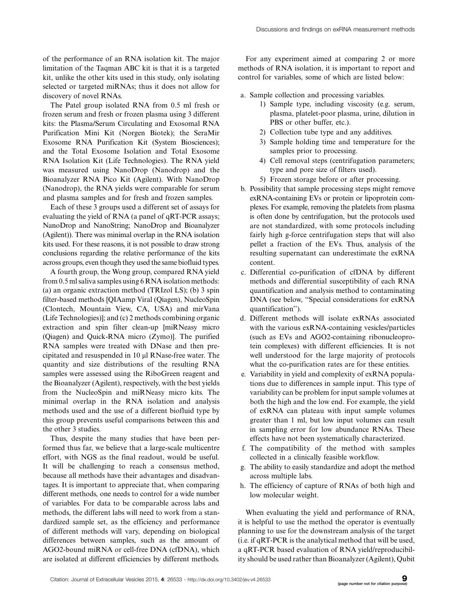of the performance of an RNA isolation kit. The major limitation of the Taqman ABC kit is that it is a targeted kit, unlike the other kits used in this study, only isolating selected or targeted miRNAs; thus it does not allow for discovery of novel RNAs.

The Patel group isolated RNA from 0.5 ml fresh or frozen serum and fresh or frozen plasma using 3 different kits: the Plasma/Serum Circulating and Exosomal RNA Purification Mini Kit (Norgen Biotek); the SeraMir Exosome RNA Purification Kit (System Biosciences); and the Total Exosome Isolation and Total Exosome RNA Isolation Kit (Life Technologies). The RNA yield was measured using NanoDrop (Nanodrop) and the Bioanalyzer RNA Pico Kit (Agilent). With NanoDrop (Nanodrop), the RNA yields were comparable for serum and plasma samples and for fresh and frozen samples.

Each of these 3 groups used a different set of assays for evaluating the yield of RNA (a panel of qRT-PCR assays; NanoDrop and NanoString; NanoDrop and Bioanalyzer (Agilent)). There was minimal overlap in the RNA isolation kits used. For these reasons, it is not possible to draw strong conclusions regarding the relative performance of the kits across groups, even though they used the same biofluid types.

A fourth group, the Wong group, compared RNA yield from 0.5 ml saliva samples using 6 RNA isolation methods: (a) an organic extraction method (TRIzol LS); (b) 3 spin filter-based methods [QIAamp Viral (Qiagen), NucleoSpin (Clontech, Mountain View, CA, USA) and mirVana (Life Technologies)]; and (c) 2 methods combining organic extraction and spin filter clean-up [miRNeasy micro (Qiagen) and Quick-RNA micro (Zymo)]. The purified RNA samples were treated with DNase and then precipitated and resuspended in 10 µl RNase-free water. The quantity and size distributions of the resulting RNA samples were assessed using the RiboGreen reagent and the Bioanalyzer (Agilent), respectively, with the best yields from the NucleoSpin and miRNeasy micro kits. The minimal overlap in the RNA isolation and analysis methods used and the use of a different biofluid type by this group prevents useful comparisons between this and the other 3 studies.

Thus, despite the many studies that have been performed thus far, we believe that a large-scale multicentre effort, with NGS as the final readout, would be useful. It will be challenging to reach a consensus method, because all methods have their advantages and disadvantages. It is important to appreciate that, when comparing different methods, one needs to control for a wide number of variables. For data to be comparable across labs and methods, the different labs will need to work from a standardized sample set, as the efficiency and performance of different methods will vary, depending on biological differences between samples, such as the amount of AGO2-bound miRNA or cell-free DNA (cfDNA), which are isolated at different efficiencies by different methods.

For any experiment aimed at comparing 2 or more methods of RNA isolation, it is important to report and control for variables, some of which are listed below:

- a. Sample collection and processing variables.
	- 1) Sample type, including viscosity (e.g. serum, plasma, platelet-poor plasma, urine, dilution in PBS or other buffer, etc.).
	- 2) Collection tube type and any additives.
	- 3) Sample holding time and temperature for the samples prior to processing.
	- 4) Cell removal steps (centrifugation parameters; type and pore size of filters used).
	- 5) Frozen storage before or after processing.
- b. Possibility that sample processing steps might remove exRNA-containing EVs or protein or lipoprotein complexes. For example, removing the platelets from plasma is often done by centrifugation, but the protocols used are not standardized, with some protocols including fairly high g-force centrifugation steps that will also pellet a fraction of the EVs. Thus, analysis of the resulting supernatant can underestimate the exRNA content.
- c. Differential co-purification of cfDNA by different methods and differential susceptibility of each RNA quantification and analysis method to contaminating DNA (see below, ''Special considerations for exRNA quantification'').
- d. Different methods will isolate exRNAs associated with the various exRNA-containing vesicles/particles (such as EVs and AGO2-containing ribonucleoprotein complexes) with different efficiencies. It is not well understood for the large majority of protocols what the co-purification rates are for these entities.
- e. Variability in yield and complexity of exRNA populations due to differences in sample input. This type of variability can be problem for input sample volumes at both the high and the low end. For example, the yield of exRNA can plateau with input sample volumes greater than 1 ml, but low input volumes can result in sampling error for low abundance RNAs. These effects have not been systematically characterized.
- f. The compatibility of the method with samples collected in a clinically feasible workflow.
- g. The ability to easily standardize and adopt the method across multiple labs.
- h. The efficiency of capture of RNAs of both high and low molecular weight.

When evaluating the yield and performance of RNA, it is helpful to use the method the operator is eventually planning to use for the downstream analysis of the target (i.e. if qRT-PCR is the analytical method that will be used, a qRT-PCR based evaluation of RNA yield/reproducibility should be used rather than Bioanalyzer (Agilent), Qubit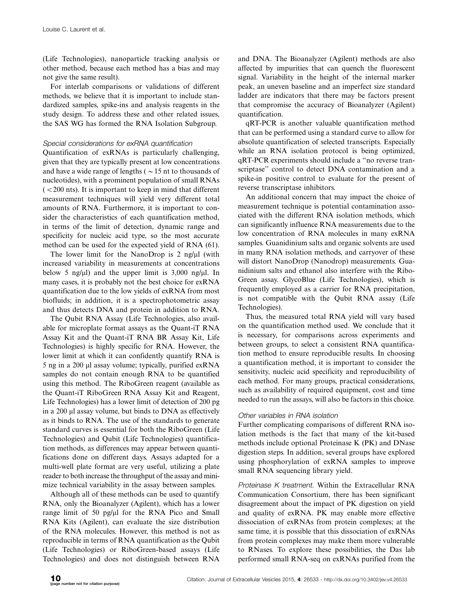(Life Technologies), nanoparticle tracking analysis or other method, because each method has a bias and may not give the same result).

For interlab comparisons or validations of different methods, we believe that it is important to include standardized samples, spike-ins and analysis reagents in the study design. To address these and other related issues, the SAS WG has formed the RNA Isolation Subgroup.

## Special considerations for exRNA quantification

Quantification of exRNAs is particularly challenging, given that they are typically present at low concentrations and have a wide range of lengths (  $\sim$  15 nt to thousands of nucleotides), with a prominent population of small RNAs  $(<$  200 nts). It is important to keep in mind that different measurement techniques will yield very different total amounts of RNA. Furthermore, it is important to consider the characteristics of each quantification method, in terms of the limit of detection, dynamic range and specificity for nucleic acid type, so the most accurate method can be used for the expected yield of RNA (61).

The lower limit for the NanoDrop is  $2 \text{ ng}/\mu l$  (with increased variability in measurements at concentrations below 5 ng/ $\mu$ l) and the upper limit is 3,000 ng/ $\mu$ l. In many cases, it is probably not the best choice for exRNA quantification due to the low yields of exRNA from most biofluids; in addition, it is a spectrophotometric assay and thus detects DNA and protein in addition to RNA.

The Qubit RNA Assay (Life Technologies, also available for microplate format assays as the Quant-iT RNA Assay Kit and the Quant-iT RNA BR Assay Kit, Life Technologies) is highly specific for RNA. However, the lower limit at which it can confidently quantify RNA is 5 ng in a 200 µl assay volume; typically, purified exRNA samples do not contain enough RNA to be quantified using this method. The RiboGreen reagent (available as the Quant-iT RiboGreen RNA Assay Kit and Reagent, Life Technologies) has a lower limit of detection of 200 pg in a 200 µl assay volume, but binds to DNA as effectively as it binds to RNA. The use of the standards to generate standard curves is essential for both the RiboGreen (Life Technologies) and Qubit (Life Technologies) quantification methods, as differences may appear between quantifications done on different days. Assays adapted for a multi-well plate format are very useful, utilizing a plate reader to both increase the throughput of the assay and minimize technical variability in the assay between samples.

Although all of these methods can be used to quantify RNA, only the Bioanalyzer (Agilent), which has a lower range limit of 50 pg/ $\mu$ l for the RNA Pico and Small RNA Kits (Agilent), can evaluate the size distribution of the RNA molecules. However, this method is not as reproducible in terms of RNA quantification as the Qubit (Life Technologies) or RiboGreen-based assays (Life Technologies) and does not distinguish between RNA

and DNA. The Bioanalyzer (Agilent) methods are also affected by impurities that can quench the fluorescent signal. Variability in the height of the internal marker peak, an uneven baseline and an imperfect size standard ladder are indicators that there may be factors present that compromise the accuracy of Bioanalyzer (Agilent) quantification.

qRT-PCR is another valuable quantification method that can be performed using a standard curve to allow for absolute quantification of selected transcripts. Especially while an RNA isolation protocol is being optimized, qRT-PCR experiments should include a ''no reverse transcriptase'' control to detect DNA contamination and a spike-in positive control to evaluate for the present of reverse transcriptase inhibitors.

An additional concern that may impact the choice of measurement technique is potential contamination associated with the different RNA isolation methods, which can significantly influence RNA measurements due to the low concentration of RNA molecules in many exRNA samples. Guanidinium salts and organic solvents are used in many RNA isolation methods, and carryover of these will distort NanoDrop (Nanodrop) measurements. Guanidinium salts and ethanol also interfere with the Ribo-Green assay. GlycoBlue (Life Technologies), which is frequently employed as a carrier for RNA precipitation, is not compatible with the Qubit RNA assay (Life Technologies).

Thus, the measured total RNA yield will vary based on the quantification method used. We conclude that it is necessary, for comparisons across experiments and between groups, to select a consistent RNA quantification method to ensure reproducible results. In choosing a quantification method, it is important to consider the sensitivity, nucleic acid specificity and reproducibility of each method. For many groups, practical considerations, such as availability of required equipment, cost and time needed to run the assays, will also be factors in this choice.

# Other variables in RNA isolation

Further complicating comparisons of different RNA isolation methods is the fact that many of the kit-based methods include optional Proteinase K (PK) and DNase digestion steps. In addition, several groups have explored using phosphorylation of exRNA samples to improve small RNA sequencing library yield.

Proteinase K treatment. Within the Extracellular RNA Communication Consortium, there has been significant disagreement about the impact of PK digestion on yield and quality of exRNA. PK may enable more effective dissociation of exRNAs from protein complexes; at the same time, it is possible that this dissociation of exRNAs from protein complexes may make them more vulnerable to RNases. To explore these possibilities, the Das lab performed small RNA-seq on exRNAs purified from the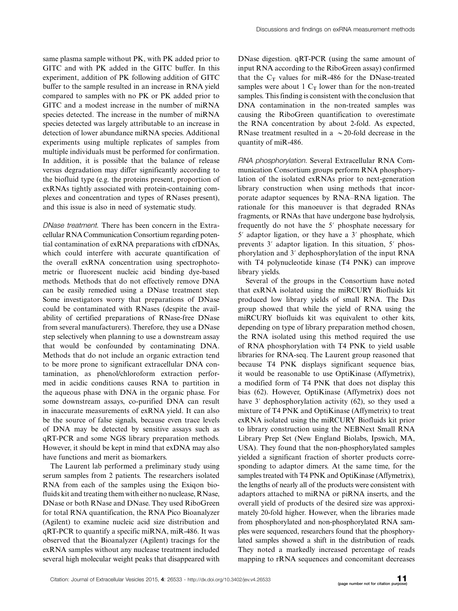same plasma sample without PK, with PK added prior to GITC and with PK added in the GITC buffer. In this experiment, addition of PK following addition of GITC buffer to the sample resulted in an increase in RNA yield compared to samples with no PK or PK added prior to GITC and a modest increase in the number of miRNA species detected. The increase in the number of miRNA species detected was largely attributable to an increase in detection of lower abundance miRNA species. Additional experiments using multiple replicates of samples from multiple individuals must be performed for confirmation. In addition, it is possible that the balance of release versus degradation may differ significantly according to the biofluid type (e.g. the proteins present, proportion of exRNAs tightly associated with protein-containing complexes and concentration and types of RNases present), and this issue is also in need of systematic study.

DNase treatment. There has been concern in the Extracellular RNA Communication Consortium regarding potential contamination of exRNA preparations with cfDNAs, which could interfere with accurate quantification of the overall exRNA concentration using spectrophotometric or fluorescent nucleic acid binding dye-based methods. Methods that do not effectively remove DNA can be easily remedied using a DNase treatment step. Some investigators worry that preparations of DNase could be contaminated with RNases (despite the availability of certified preparations of RNase-free DNase from several manufacturers). Therefore, they use a DNase step selectively when planning to use a downstream assay that would be confounded by contaminating DNA. Methods that do not include an organic extraction tend to be more prone to significant extracellular DNA contamination, as phenol/chloroform extraction performed in acidic conditions causes RNA to partition in the aqueous phase with DNA in the organic phase. For some downstream assays, co-purified DNA can result in inaccurate measurements of exRNA yield. It can also be the source of false signals, because even trace levels of DNA may be detected by sensitive assays such as qRT-PCR and some NGS library preparation methods. However, it should be kept in mind that exDNA may also have functions and merit as biomarkers.

The Laurent lab performed a preliminary study using serum samples from 2 patients. The researchers isolated RNA from each of the samples using the Exiqon biofluids kit and treating them with either no nuclease, RNase, DNase or both RNase and DNase. They used RiboGreen for total RNA quantification, the RNA Pico Bioanalyzer (Agilent) to examine nucleic acid size distribution and qRT-PCR to quantify a specific miRNA, miR-486. It was observed that the Bioanalyzer (Agilent) tracings for the exRNA samples without any nuclease treatment included several high molecular weight peaks that disappeared with

DNase digestion. qRT-PCR (using the same amount of input RNA according to the RiboGreen assay) confirmed that the  $C_T$  values for miR-486 for the DNase-treated samples were about 1  $C_T$  lower than for the non-treated samples. This finding is consistent with the conclusion that DNA contamination in the non-treated samples was causing the RiboGreen quantification to overestimate the RNA concentration by about 2-fold. As expected, RNase treatment resulted in a  $\sim$  20-fold decrease in the quantity of miR-486.

RNA phosphorylation. Several Extracellular RNA Communication Consortium groups perform RNA phosphorylation of the isolated exRNAs prior to next-generation library construction when using methods that incorporate adaptor sequences by RNA-RNA ligation. The rationale for this manoeuver is that degraded RNAs fragments, or RNAs that have undergone base hydrolysis, frequently do not have the 5? phosphate necessary for 5? adaptor ligation, or they have a 3? phosphate, which prevents 3<sup>'</sup> adaptor ligation. In this situation, 5<sup>'</sup> phosphorylation and 3? dephosphorylation of the input RNA with T4 polynucleotide kinase (T4 PNK) can improve library yields.

Several of the groups in the Consortium have noted that exRNA isolated using the miRCURY Biofluids kit produced low library yields of small RNA. The Das group showed that while the yield of RNA using the miRCURY biofluids kit was equivalent to other kits, depending on type of library preparation method chosen, the RNA isolated using this method required the use of RNA phosphorylation with T4 PNK to yield usable libraries for RNA-seq. The Laurent group reasoned that because T4 PNK displays significant sequence bias, it would be reasonable to use OptiKinase (Affymetrix), a modified form of T4 PNK that does not display this bias (62). However, OptiKinase (Affymetrix) does not have 3' dephosphorylation activity (62), so they used a mixture of T4 PNK and OptiKinase (Affymetrix) to treat exRNA isolated using the miRCURY Biofluids kit prior to library construction using the NEBNext Small RNA Library Prep Set (New England Biolabs, Ipswich, MA, USA). They found that the non-phosphorylated samples yielded a significant fraction of shorter products corresponding to adaptor dimers. At the same time, for the samples treated with T4 PNK and OptiKinase (Affymetrix), the lengths of nearly all of the products were consistent with adaptors attached to miRNA or piRNA inserts, and the overall yield of products of the desired size was approximately 20-fold higher. However, when the libraries made from phosphorylated and non-phosphorylated RNA samples were sequenced, researchers found that the phosphorylated samples showed a shift in the distribution of reads. They noted a markedly increased percentage of reads mapping to rRNA sequences and concomitant decreases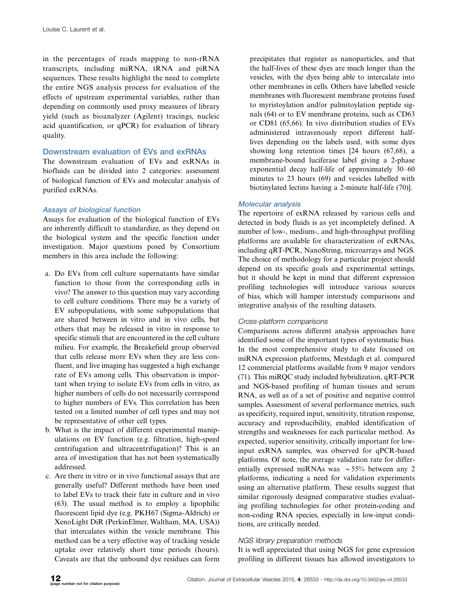in the percentages of reads mapping to non-rRNA transcripts, including miRNA, tRNA and piRNA sequences. These results highlight the need to complete the entire NGS analysis process for evaluation of the effects of upstream experimental variables, rather than depending on commonly used proxy measures of library yield (such as bioanalyzer (Agilent) tracings, nucleic acid quantification, or qPCR) for evaluation of library quality.

# Downstream evaluation of EVs and exRNAs

The downstream evaluation of EVs and exRNAs in biofluids can be divided into 2 categories: assessment of biological function of EVs and molecular analysis of purified exRNAs.

## Assays of biological function

Assays for evaluation of the biological function of EVs are inherently difficult to standardize, as they depend on the biological system and the specific function under investigation. Major questions posed by Consortium members in this area include the following:

- a. Do EVs from cell culture supernatants have similar function to those from the corresponding cells in vivo? The answer to this question may vary according to cell culture conditions. There may be a variety of EV subpopulations, with some subpopulations that are shared between in vitro and in vivo cells, but others that may be released in vitro in response to specific stimuli that are encountered in the cell culture milieu. For example, the Breakefield group observed that cells release more EVs when they are less confluent, and live imaging has suggested a high exchange rate of EVs among cells. This observation is important when trying to isolate EVs from cells in vitro, as higher numbers of cells do not necessarily correspond to higher numbers of EVs. This correlation has been tested on a limited number of cell types and may not be representative of other cell types.
- b. What is the impact of different experimental manipulations on EV function (e.g. filtration, high-speed centrifugation and ultracentrifugation)? This is an area of investigation that has not been systematically addressed.
- c. Are there in vitro or in vivo functional assays that are generally useful? Different methods have been used to label EVs to track their fate in culture and in vivo (63). The usual method is to employ a lipophilic fluorescent lipid dye (e.g. PKH67 (Sigma-Aldrich) or XenoLight DiR (PerkinElmer, Waltham, MA, USA)) that intercalates within the vesicle membrane. This method can be a very effective way of tracking vesicle uptake over relatively short time periods (hours). Caveats are that the unbound dye residues can form

precipitates that register as nanoparticles, and that the half-lives of these dyes are much longer than the vesicles, with the dyes being able to intercalate into other membranes in cells. Others have labelled vesicle membranes with fluorescent membrane proteins fused to myristoylation and/or palmitoylation peptide signals (64) or to EV membrane proteins, such as CD63 or CD81 (65,66). In vivo distribution studies of EVs administered intravenously report different halflives depending on the labels used, with some dyes showing long retention times [24 hours (67,68), a membrane-bound luciferase label giving a 2-phase exponential decay half-life of approximately 30-60 minutes to 23 hours (69) and vesicles labelled with biotinylated lectins having a 2-minute half-life (70)].

## Molecular analysis

The repertoire of exRNA released by various cells and detected in body fluids is as yet incompletely defined. A number of low-, medium-, and high-throughput profiling platforms are available for characterization of exRNAs, including qRT-PCR, NanoString, microarrays and NGS. The choice of methodology for a particular project should depend on its specific goals and experimental settings, but it should be kept in mind that different expression profiling technologies will introduce various sources of bias, which will hamper interstudy comparisons and integrative analysis of the resulting datasets.

#### Cross-platform comparisons

Comparisons across different analysis approaches have identified some of the important types of systematic bias. In the most comprehensive study to date focused on miRNA expression platforms, Mestdagh et al. compared 12 commercial platforms available from 9 major vendors (71). This miRQC study included hybridization, qRT-PCR and NGS-based profiling of human tissues and serum RNA, as well as of a set of positive and negative control samples. Assessment of several performance metrics, such as specificity, required input, sensitivity, titration response, accuracy and reproducibility, enabled identification of strengths and weaknesses for each particular method. As expected, superior sensitivity, critically important for lowinput exRNA samples, was observed for qPCR-based platforms. Of note, the average validation rate for differentially expressed miRNAs was  $\sim$  55% between any 2 platforms, indicating a need for validation experiments using an alternative platform. These results suggest that similar rigorously designed comparative studies evaluating profiling technologies for other protein-coding and non-coding RNA species, especially in low-input conditions, are critically needed.

# NGS library preparation methods

It is well appreciated that using NGS for gene expression profiling in different tissues has allowed investigators to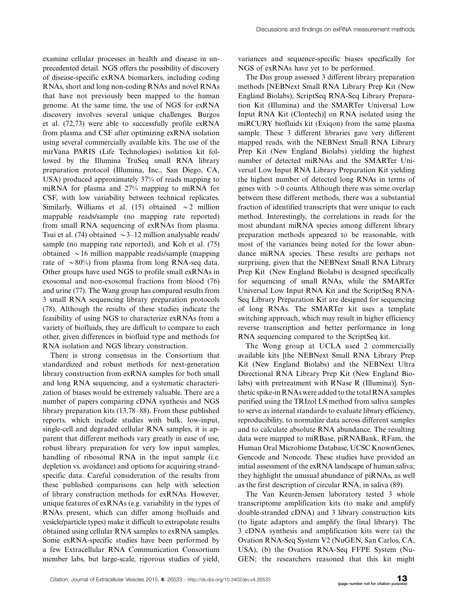examine cellular processes in health and disease in unprecedented detail. NGS offers the possibility of discovery of disease-specific exRNA biomarkers, including coding RNAs, short and long non-coding RNAs and novel RNAs that have not previously been mapped to the human genome. At the same time, the use of NGS for exRNA discovery involves several unique challenges. Burgos et al. (72,73) were able to successfully profile exRNA from plasma and CSF after optimizing exRNA isolation using several commercially available kits. The use of the mirVana PARIS (Life Technologies) isolation kit followed by the Illumina TruSeq small RNA library preparation protocol (Illumina, Inc., San Diego, CA, USA) produced approximately 37% of reads mapping to miRNA for plasma and 27% mapping to miRNA for CSF, with low variability between technical replicates. Similarly, Williams et al. (15) obtained  $\sim$ 2 million mappable reads/sample (no mapping rate reported) from small RNA sequencing of exRNAs from plasma. Tsui et al. (74) obtained  $\sim$ 3–12 million analysable reads/ sample (no mapping rate reported), and Koh et al. (75)  $obtained ~16$  million mappable reads/sample (mapping rate of  $\sim 80\%$ ) from plasma from long RNA-seq data. Other groups have used NGS to profile small exRNAs in exosomal and non-exosomal fractions from blood (76) and urine (77). The Wang group has compared results from 3 small RNA sequencing library preparation protocols (78). Although the results of these studies indicate the feasibility of using NGS to characterize exRNAs from a variety of biofluids, they are difficult to compare to each other, given differences in biofluid type and methods for RNA isolation and NGS library construction.

There is strong consensus in the Consortium that standardized and robust methods for next-generation library construction from exRNA samples for both small and long RNA sequencing, and a systematic characterization of biases would be extremely valuable. There are a number of papers comparing cDNA synthesis and NGS library preparation kits (13,78-88). From these published reports, which include studies with bulk, low-input, single-cell and degraded cellular RNA samples, it is apparent that different methods vary greatly in ease of use, robust library preparation for very low input samples, handling of ribosomal RNA in the input sample (i.e. depletion vs. avoidance) and options for acquiring strandspecific data. Careful consideration of the results from these published comparisons can help with selection of library construction methods for exRNAs. However, unique features of exRNAs (e.g. variability in the types of RNAs present, which can differ among biofluids and vesicle/particle types) make it difficult to extrapolate results obtained using cellular RNA samples to exRNA samples. Some exRNA-specific studies have been performed by a few Extracellular RNA Communication Consortium member labs, but large-scale, rigorous studies of yield,

variances and sequence-specific biases specifically for NGS of exRNAs have yet to be performed.

The Das group assessed 3 different library preparation methods [NEBNext Small RNA Library Prep Kit (New England Biolabs), ScriptSeq RNA-Seq Library Preparation Kit (Illumina) and the SMARTer Universal Low Input RNA Kit (Clontech)] on RNA isolated using the miRCURY biofluids kit (Exiqon) from the same plasma sample. These 3 different libraries gave very different mapped reads, with the NEBNext Small RNA Library Prep Kit (New England Biolabs) yielding the highest number of detected miRNAs and the SMARTer Universal Low Input RNA Library Preparation Kit yielding the highest number of detected long RNAs in terms of genes with  $>0$  counts. Although there was some overlap between these different methods, there was a substantial fraction of identified transcripts that were unique to each method. Interestingly, the correlations in reads for the most abundant miRNA species among different library preparation methods appeared to be reasonable, with most of the variances being noted for the lower abundance miRNA species. These results are perhaps not surprising, given that the NEBNext Small RNA Library Prep Kit (New England Biolabs) is designed specifically for sequencing of small RNAs, while the SMARTer Universal Low Input RNA Kit and the ScriptSeq RNA-Seq Library Preparation Kit are designed for sequencing of long RNAs. The SMARTer kit uses a template switching approach, which may result in higher efficiency reverse transcription and better performance in long RNA sequencing compared to the ScriptSeq kit.

The Wong group at UCLA used 2 commercially available kits [the NEBNext Small RNA Library Prep Kit (New England Biolabs) and the NEBNext Ultra Directional RNA Library Prep Kit (New England Biolabs) with pretreatment with RNase R (Illumina)]. Synthetic spike-in RNAs were added to the total RNA samples purified using the TRIzol LS method from saliva samples to serve as internal standards to evaluate library efficiency, reproducibility, to normalize data across different samples and to calculate absolute RNA abundance. The resulting data were mapped to miRBase, piRNABank, RFam, the Human Oral Microbiome Database, UCSC KnownGenes, Gencode and Noncode. These studies have provided an initial assessment of the exRNA landscape of human saliva; they highlight the unusual abundance of piRNAs, as well as the first description of circular RNA, in saliva (89).

The Van Keuren-Jensen laboratory tested 3 whole transcriptome amplification kits (to make and amplify double-stranded cDNA) and 3 library construction kits (to ligate adaptors and amplify the final library). The 3 cDNA synthesis and amplification kits were (a) the Ovation RNA-Seq System V2 (NuGEN, San Carlos, CA, USA), (b) the Ovation RNA-Seq FFPE System (Nu-GEN; the researchers reasoned that this kit might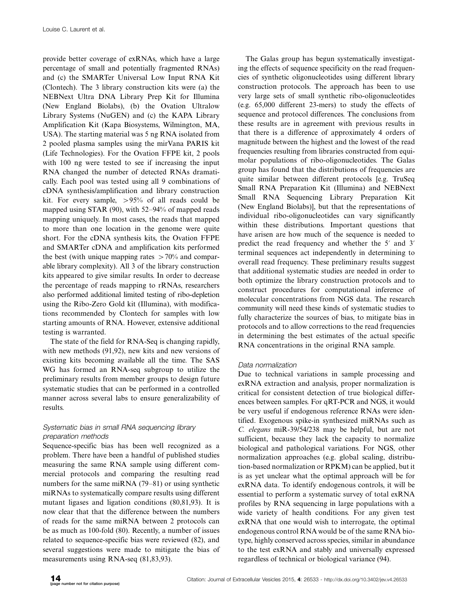provide better coverage of exRNAs, which have a large percentage of small and potentially fragmented RNAs) and (c) the SMARTer Universal Low Input RNA Kit (Clontech). The 3 library construction kits were (a) the NEBNext Ultra DNA Library Prep Kit for Illumina (New England Biolabs), (b) the Ovation Ultralow Library Systems (NuGEN) and (c) the KAPA Library Amplification Kit (Kapa Biosystems, Wilmington, MA, USA). The starting material was 5 ng RNA isolated from 2 pooled plasma samples using the mirVana PARIS kit (Life Technologies). For the Ovation FFPE kit, 2 pools with 100 ng were tested to see if increasing the input RNA changed the number of detected RNAs dramatically. Each pool was tested using all 9 combinations of cDNA synthesis/amplification and library construction kit. For every sample,  $>95%$  of all reads could be mapped using STAR (90), with 52-94% of mapped reads mapping uniquely. In most cases, the reads that mapped to more than one location in the genome were quite short. For the cDNA synthesis kits, the Ovation FFPE and SMARTer cDNA and amplification kits performed the best (with unique mapping rates  $> 70\%$  and comparable library complexity). All 3 of the library construction kits appeared to give similar results. In order to decrease the percentage of reads mapping to rRNAs, researchers also performed additional limited testing of ribo-depletion using the Ribo-Zero Gold kit (Illumina), with modifications recommended by Clontech for samples with low starting amounts of RNA. However, extensive additional testing is warranted.

The state of the field for RNA-Seq is changing rapidly, with new methods (91,92), new kits and new versions of existing kits becoming available all the time. The SAS WG has formed an RNA-seq subgroup to utilize the preliminary results from member groups to design future systematic studies that can be performed in a controlled manner across several labs to ensure generalizability of results.

# Systematic bias in small RNA sequencing library preparation methods

Sequence-specific bias has been well recognized as a problem. There have been a handful of published studies measuring the same RNA sample using different commercial protocols and comparing the resulting read numbers for the same miRNA (79-81) or using synthetic miRNAs to systematically compare results using different mutant ligases and ligation conditions (80,81,93). It is now clear that that the difference between the numbers of reads for the same miRNA between 2 protocols can be as much as 100-fold (80). Recently, a number of issues related to sequence-specific bias were reviewed (82), and several suggestions were made to mitigate the bias of measurements using RNA-seq (81,83,93).

The Galas group has begun systematically investigating the effects of sequence specificity on the read frequencies of synthetic oligonucleotides using different library construction protocols. The approach has been to use very large sets of small synthetic ribo-oligonucleotides (e.g. 65,000 different 23-mers) to study the effects of sequence and protocol differences. The conclusions from these results are in agreement with previous results in that there is a difference of approximately 4 orders of magnitude between the highest and the lowest of the read frequencies resulting from libraries constructed from equimolar populations of ribo-oligonucleotides. The Galas group has found that the distributions of frequencies are quite similar between different protocols [e.g. TruSeq Small RNA Preparation Kit (Illumina) and NEBNext Small RNA Sequencing Library Preparation Kit (New England Biolabs)], but that the representations of individual ribo-oligonucleotides can vary significantly within these distributions. Important questions that have arisen are how much of the sequence is needed to predict the read frequency and whether the 5' and 3' terminal sequences act independently in determining to overall read frequency. These preliminary results suggest that additional systematic studies are needed in order to both optimize the library construction protocols and to construct procedures for computational inference of molecular concentrations from NGS data. The research community will need these kinds of systematic studies to fully characterize the sources of bias, to mitigate bias in protocols and to allow corrections to the read frequencies in determining the best estimates of the actual specific RNA concentrations in the original RNA sample.

# Data normalization

Due to technical variations in sample processing and exRNA extraction and analysis, proper normalization is critical for consistent detection of true biological differences between samples. For qRT-PCR and NGS, it would be very useful if endogenous reference RNAs were identified. Exogenous spike-in synthesized miRNAs such as C. elegans miR-39/54/238 may be helpful, but are not sufficient, because they lack the capacity to normalize biological and pathological variations. For NGS, other normalization approaches (e.g. global scaling, distribution-based normalization or RPKM) can be applied, but it is as yet unclear what the optimal approach will be for exRNA data. To identify endogenous controls, it will be essential to perform a systematic survey of total exRNA profiles by RNA sequencing in large populations with a wide variety of health conditions. For any given test exRNA that one would wish to interrogate, the optimal endogenous control RNA would be of the same RNA biotype, highly conserved across species, similar in abundance to the test exRNA and stably and universally expressed regardless of technical or biological variance (94).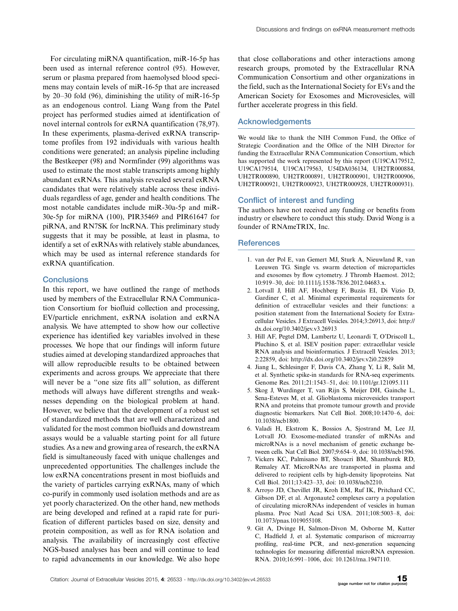For circulating miRNA quantification, miR-16-5p has been used as internal reference control (95). However, serum or plasma prepared from haemolysed blood specimens may contain levels of miR-16-5p that are increased by 20-30 fold (96), diminishing the utility of miR-16-5p as an endogenous control. Liang Wang from the Patel project has performed studies aimed at identification of novel internal controls for exRNA quantification (78,97). In these experiments, plasma-derived exRNA transcriptome profiles from 192 individuals with various health conditions were generated; an analysis pipeline including the Bestkeeper (98) and Normfinder (99) algorithms was used to estimate the most stable transcripts among highly abundant exRNAs. This analysis revealed several exRNA candidates that were relatively stable across these individuals regardless of age, gender and health conditions. The most notable candidates include miR-30a-5p and miR-30e-5p for miRNA (100), PIR35469 and PIR61647 for piRNA, and RN7SK for lncRNA. This preliminary study suggests that it may be possible, at least in plasma, to identify a set of exRNAs with relatively stable abundances, which may be used as internal reference standards for exRNA quantification.

## **Conclusions**

In this report, we have outlined the range of methods used by members of the Extracellular RNA Communication Consortium for biofluid collection and processing, EV/particle enrichment, exRNA isolation and exRNA analysis. We have attempted to show how our collective experience has identified key variables involved in these processes. We hope that our findings will inform future studies aimed at developing standardized approaches that will allow reproducible results to be obtained between experiments and across groups. We appreciate that there will never be a "one size fits all" solution, as different methods will always have different strengths and weaknesses depending on the biological problem at hand. However, we believe that the development of a robust set of standardized methods that are well characterized and validated for the most common biofluids and downstream assays would be a valuable starting point for all future studies. As a new and growing area of research, the exRNA field is simultaneously faced with unique challenges and unprecedented opportunities. The challenges include the low exRNA concentrations present in most biofluids and the variety of particles carrying exRNAs, many of which co-purify in commonly used isolation methods and are as yet poorly characterized. On the other hand, new methods are being developed and refined at a rapid rate for purification of different particles based on size, density and protein composition, as well as for RNA isolation and analysis. The availability of increasingly cost effective NGS-based analyses has been and will continue to lead to rapid advancements in our knowledge. We also hope that close collaborations and other interactions among research groups, promoted by the Extracellular RNA Communication Consortium and other organizations in the field, such as the International Society for EVs and the American Society for Exosomes and Microvesicles, will further accelerate progress in this field.

#### Acknowledgements

We would like to thank the NIH Common Fund, the Office of Strategic Coordination and the Office of the NIH Director for funding the Extracellular RNA Communication Consortium, which has supported the work represented by this report (U19CA179512, U19CA179514, U19CA179563, U54DA036134, UH2TR000884, UH2TR000890, UH2TR000891, UH2TR000901, UH2TR000906, UH2TR000921, UH2TR000923, UH2TR000928, UH2TR000931).

#### Conflict of interest and funding

The authors have not received any funding or benefits from industry or elsewhere to conduct this study. David Wong is a founder of RNAmeTRIX, Inc.

#### **References**

- 1. van der Pol E, van Gemert MJ, Sturk A, Nieuwland R, van Leeuwen TG. Single vs. swarm detection of microparticles and exosomes by flow cytometry. J Thromb Haemost. 2012; 10:919-30, doi: 10.1111/j.1538-7836.2012.04683.x.
- 2. Lotvall J, Hill AF, Hochberg F, Buzás EI, Di Vizio D, Gardiner C, et al. Minimal experimental requirements for definition of extracellular vesicles and their functions: a position statement from the International Society for Extracellular Vesicles. J Extracell Vesicles. 2014;3:26913, doi: [http://](http://dx.doi.org/10.3402/jev.v3.26913) [dx.doi.org/10.3402/jev.v3.26913](http://dx.doi.org/10.3402/jev.v3.26913)
- 3. Hill AF, Pegtel DM, Lambertz U, Leonardi T, O'Driscoll L, Pluchino S, et al. ISEV position paper: extracellular vesicle RNA analysis and bioinformatics. J Extracell Vesicles. 2013; 2:22859, doi:<http://dx.doi.org/10.3402/jev.v2i0.22859>
- 4. Jiang L, Schlesinger F, Davis CA, Zhang Y, Li R, Salit M, et al. Synthetic spike-in standards for RNA-seq experiments. Genome Res. 2011;21:1543-51, doi: 10.1101/gr.121095.111
- 5. Skog J, Wurdinger T, van Rijn S, Meijer DH, Gainche L, Sena-Esteves M, et al. Glioblastoma microvesicles transport RNA and proteins that promote tumour growth and provide diagnostic biomarkers. Nat Cell Biol. 2008;10:1470-6, doi: 10.1038/ncb1800.
- 6. Valadi H, Ekstrom K, Bossios A, Sjostrand M, Lee JJ, Lotvall JO. Exosome-mediated transfer of mRNAs and microRNAs is a novel mechanism of genetic exchange between cells. Nat Cell Biol. 2007;9:654-9, doi: 10.1038/ncb1596.
- 7. Vickers KC, Palmisano BT, Shoucri BM, Shamburek RD, Remaley AT. MicroRNAs are transported in plasma and delivered to recipient cells by high-density lipoproteins. Nat Cell Biol. 2011;13:423-33, doi: 10.1038/ncb2210.
- 8. Arroyo JD, Chevillet JR, Kroh EM, Ruf IK, Pritchard CC, Gibson DF, et al. Argonaute2 complexes carry a population of circulating microRNAs independent of vesicles in human plasma. Proc Natl Acad Sci USA. 2011;108:5003-8, doi: 10.1073/pnas.1019055108.
- 9. Git A, Dvinge H, Salmon-Divon M, Osborne M, Kutter C, Hadfield J, et al. Systematic comparison of microarray profiling, real-time PCR, and next-generation sequencing technologies for measuring differential microRNA expression. RNA. 2010;16:991-1006, doi: 10.1261/rna.1947110.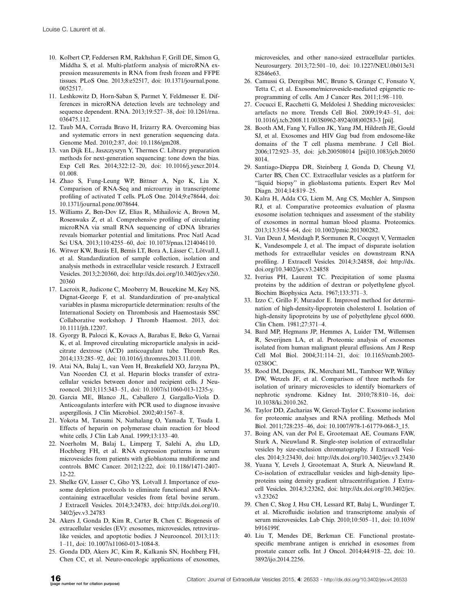- 10. Kolbert CP, Feddersen RM, Rakhshan F, Grill DE, Simon G, Middha S, et al. Multi-platform analysis of microRNA expression measurements in RNA from fresh frozen and FFPE tissues. PLoS One. 2013;8:e52517, doi: 10.1371/journal.pone. 0052517.
- 11. Leshkowitz D, Horn-Saban S, Parmet Y, Feldmesser E. Differences in microRNA detection levels are technology and sequence dependent. RNA. 2013;19:527-38, doi: 10.1261/rna. 036475.112.
- 12. Taub MA, Corrada Bravo H, Irizarry RA. Overcoming bias and systematic errors in next generation sequencing data. Genome Med. 2010;2:87, doi: 10.1186/gm208.
- 13. van Dijk EL, Jaszczyszyn Y, Thermes C. Library preparation methods for next-generation sequencing: tone down the bias. Exp Cell Res. 2014;322:12-20, doi: 10.1016/j.yexcr.2014. 01.008.
- 14. Zhao S, Fung-Leung WP, Bittner A, Ngo K, Liu X. Comparison of RNA-Seq and microarray in transcriptome profiling of activated T cells. PLoS One. 2014;9:e78644, doi: 10.1371/journal.pone.0078644.
- 15. Williams Z, Ben-Dov IZ, Elias R, Mihailovic A, Brown M, Rosenwaks Z, et al. Comprehensive profiling of circulating microRNA via small RNA sequencing of cDNA libraries reveals biomarker potential and limitations. Proc Natl Acad Sci USA. 2013;110:4255-60, doi: 10.1073/pnas.1214046110.
- 16. Witwer KW, Buzás EI, Bemis LT, Bora A, Lässer C, Lötvall J, et al. Standardization of sample collection, isolation and analysis methods in extracellular vesicle research. J Extracell Vesicles. 2013;2:20360, doi: [http://dx.doi.org/10.3402/jev.v2i0.](http://dx.doi.org/10.3402/jev.v2i0.20360) [20360](http://dx.doi.org/10.3402/jev.v2i0.20360)
- 17. Lacroix R, Judicone C, Mooberry M, Boucekine M, Key NS, Dignat-George F, et al. Standardization of pre-analytical variables in plasma microparticle determination: results of the International Society on Thrombosis and Haemostasis SSC Collaborative workshop. J Thromb Haemost. 2013, doi: 10.1111/jth.12207.
- 18. Gyorgy B, Paloczi K, Kovacs A, Barabas E, Beko G, Varnai K, et al. Improved circulating microparticle analysis in acidcitrate dextrose (ACD) anticoagulant tube. Thromb Res. 2014;133:285-92, doi: 10.1016/j.thromres.2013.11.010.
- 19. Atai NA, Balaj L, van Veen H, Breakefield XO, Jarzyna PA, Van Noorden CJ, et al. Heparin blocks transfer of extracellular vesicles between donor and recipient cells. J Neurooncol. 2013;115:343-51, doi: 10.1007/s11060-013-1235-y.
- 20. Garcia ME, Blanco JL, Caballero J, Gargallo-Viola D. Anticoagulants interfere with PCR used to diagnose invasive aspergillosis. J Clin Microbiol. 2002;40:1567-8.
- 21. Yokota M, Tatsumi N, Nathalang O, Yamada T, Tsuda I. Effects of heparin on polymerase chain reaction for blood white cells. J Clin Lab Anal. 1999;13:133-40.
- 22. Noerholm M, Balaj L, Limperg T, Salehi A, zhu LD, Hochberg FH, et al. RNA expression patterns in serum microvesicles from patients with glioblastoma multiforme and controls. BMC Cancer. 2012;12:22, doi: 10.1186/1471-2407- 12-22.
- 23. Shelke GV, Lasser C, Gho YS, Lotvall J. Importance of exosome depletion protocols to eliminate functional and RNAcontaining extracellular vesicles from fetal bovine serum. J Extracell Vesicles. 2014;3:24783, doi: [http://dx.doi.org/10.](http://dx.doi.org/10.3402/jev.v3.24783) [3402/jev.v3.24783](http://dx.doi.org/10.3402/jev.v3.24783)
- 24. Akers J, Gonda D, Kim R, Carter B, Chen C. Biogenesis of extracellular vesicles (EV): exosomes, microvesicles, retroviruslike vesicles, and apoptotic bodies. J Neurooncol. 2013;113: 1-11, doi: 10.1007/s11060-013-1084-8.
- 25. Gonda DD, Akers JC, Kim R, Kalkanis SN, Hochberg FH, Chen CC, et al. Neuro-oncologic applications of exosomes,

microvesicles, and other nano-sized extracellular particles. Neurosurgery. 2013;72:501-10, doi: 10.1227/NEU.0b013e31 82846e63.

- 26. Camussi G, Deregibus MC, Bruno S, Grange C, Fonsato V, Tetta C, et al. Exosome/microvesicle-mediated epigenetic reprogramming of cells. Am J Cancer Res. 2011;1:98-110.
- 27. Cocucci E, Racchetti G, Meldolesi J. Shedding microvesicles: artefacts no more. Trends Cell Biol. 2009;19:43-51, doi: 10.1016/j.tcb.2008.11.003S0962-8924(08)00283-3 [pii].
- 28. Booth AM, Fang Y, Fallon JK, Yang JM, Hildreth JE, Gould SJ, et al. Exosomes and HIV Gag bud from endosome-like domains of the T cell plasma membrane. J Cell Biol. 2006;172:923-35, doi: jcb.200508014 [pii]10.1083/jcb.20050 8014.
- 29. Santiago-Dieppa DR, Steinberg J, Gonda D, Cheung VJ, Carter BS, Chen CC. Extracellular vesicles as a platform for ''liquid biopsy'' in glioblastoma patients. Expert Rev Mol Diagn. 2014;14:819-25.
- 30. Kalra H, Adda CG, Liem M, Ang CS, Mechler A, Simpson RJ, et al. Comparative proteomics evaluation of plasma exosome isolation techniques and assessment of the stability of exosomes in normal human blood plasma. Proteomics. 2013;13:3354-64, doi: 10.1002/pmic.201300282.
- 31. Van Deun J, Mestdagh P, Sormunen R, Cocquyt V, Vermaelen K, Vandesompele J, et al. The impact of disparate isolation methods for extracellular vesicles on downstream RNA profiling. J Extracell Vesicles. 2014;3:24858, doi: [http://dx.](http://dx.doi.org/10.3402/jev.v3.24858) [doi.org/10.3402/jev.v3.24858](http://dx.doi.org/10.3402/jev.v3.24858)
- 32. Iverius PH, Laurent TC. Precipitation of some plasma proteins by the addition of dextran or polyethylene glycol. Biochim Biophysica Acta. 1967;133:371-3.
- 33. Izzo C, Grillo F, Murador E. Improved method for determination of high-density-lipoprotein cholesterol I. Isolation of high-density lipoproteins by use of polyethylene glycol 6000. Clin Chem. 1981;27:371-4.
- 34. Bard MP, Hegmans JP, Hemmes A, Luider TM, Willemsen R, Severijnen LA, et al. Proteomic analysis of exosomes isolated from human malignant pleural effusions. Am J Resp Cell Mol Biol. 2004;31:114-21, doi: 10.1165/rcmb.2003- 0238OC.
- 35. Rood IM, Deegens, JK, Merchant ML, Tamboer WP, Wilkey DW, Wetzels JF, et al. Comparison of three methods for isolation of urinary microvesicles to identify biomarkers of nephrotic syndrome. Kidney Int. 2010;78:810-16, doi: 10.1038/ki.2010.262.
- 36. Taylor DD, Zacharias W, Gercel-Taylor C. Exosome isolation for proteomic analyses and RNA profiling. Methods Mol Biol. 2011;728:235-46, doi: 10.1007/978-1-61779-068-3\_15.
- 37. Boing AN, van der Pol E, Grootemaat AE, Coumans FAW, Sturk A, Nieuwland R. Single-step isolation of extracellular vesicles by size-exclusion chromatography. J Extracell Vesicles. 2014;3:23430, doi:<http://dx.doi.org/10.3402/jev.v3.23430>
- 38. Yuana Y, Levels J, Grootemaat A, Sturk A, Nieuwland R. Co-isolation of extracellular vesicles and high-density lipoproteins using density gradient ultracentrifugation. J Extracell Vesicles. 2014;3:23262, doi: [http://dx.doi.org/10.3402/jev.](http://dx.doi.org/10.3402/jev.v3.23262) [v3.23262](http://dx.doi.org/10.3402/jev.v3.23262)
- 39. Chen C, Skog J, Hsu CH, Lessard RT, Balaj L, Wurdinger T, et al. Microfluidic isolation and transcriptome analysis of serum microvesicles. Lab Chip. 2010;10:505-11, doi: 10.1039/ b916199f.
- 40. Liu T, Mendes DE, Berkman CE. Functional prostatespecific membrane antigen is enriched in exosomes from prostate cancer cells. Int J Oncol. 2014;44:918-22, doi: 10. 3892/ijo.2014.2256.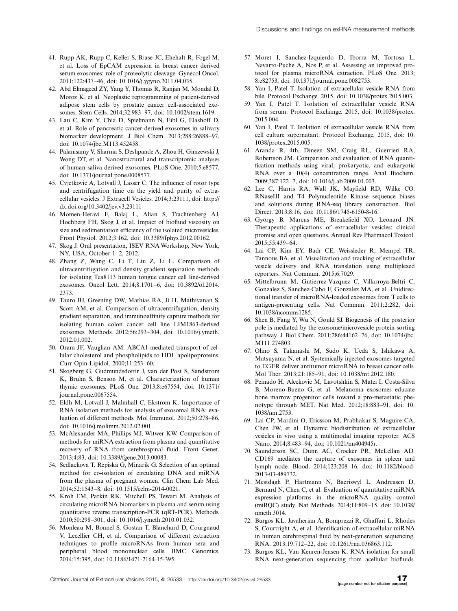- 41. Rupp AK, Rupp C, Keller S, Brase JC, Ehehalt R, Fogel M, et al. Loss of EpCAM expression in breast cancer derived serum exosomes: role of proteolytic cleavage. Gynecol Oncol. 2011;122:437-46, doi: 10.1016/j.ygyno.2011.04.035.
- 42. Abd Elmageed ZY, Yang Y, Thomas R, Ranjan M, Mondal D, Moroz K, et al. Neoplastic reprogramming of patient-derived adipose stem cells by prostate cancer cell-associated exosomes. Stem Cells. 2014;32:983-97, doi: 10.1002/stem.1619.
- 43. Lau C, Kim Y, Chia D, Spielmann N, Eibl G, Elashoff D, et al. Role of pancreatic cancer-derived exosomes in salivary biomarker development. J Biol Chem. 2013;288:26888-97, doi: 10.1074/jbc.M113.452458.
- 44. Palanisamy V, Sharma S, Deshpande A, Zhou H, Gimzewski J, Wong DT, et al. Nanostructural and transcriptomic analyses of human saliva derived exosomes. PLoS One. 2010;5:e8577, doi: 10.1371/journal.pone.0008577.
- 45. Cvjetkovic A, Lotvall J, Lasser C. The influence of rotor type and centrifugation time on the yield and purity of extracellular vesicles. J Extracell Vesicles. 2014;3:23111, doi: [http://](http://dx.doi.org/10.3402/jev.v3.23111) [dx.doi.org/10.3402/jev.v3.23111](http://dx.doi.org/10.3402/jev.v3.23111)
- 46. Momen-Heravi F, Balaj L, Alian S, Trachtenberg AJ, Hochberg FH, Skog J, et al. Impact of biofluid viscosity on size and sedimentation efficiency of the isolated microvesicles. Front Physiol. 2012;3:162, doi: 10.3389/fphys.2012.00162.
- 47. Skog J. Oral presentation, ISEV RNA Workshop, New York, NY, USA; October 1-2, 2012.
- 48. Zhang Z, Wang C, Li T, Liu Z, Li L. Comparison of ultracentrifugation and density gradient separation methods for isolating Tca8113 human tongue cancer cell line-derived exosomes. Oncol Lett. 2014;8:1701-6, doi: 10.3892/ol.2014. 2373.
- 49. Tauro BJ, Greening DW, Mathias RA, Ji H, Mathivanan S, Scott AM, et al. Comparison of ultracentrifugation, density gradient separation, and immunoaffinity capture methods for isolating human colon cancer cell line LIM1863-derived exosomes. Methods. 2012;56:293-304, doi: 10.1016/j.ymeth. 2012.01.002.
- 50. Oram JF, Vaughan AM. ABCA1-mediated transport of cellular cholesterol and phospholipids to HDL apolipoproteins. Curr Opin Lipidol. 2000;11:253-60.
- 51. Skogberg G, Gudmundsdottir J, van der Post S, Sandstrom K, Bruhn S, Benson M, et al. Characterization of human thymic exosomes. PLoS One. 2013;8:e67554, doi: 10.1371/ journal.pone.0067554.
- 52. Eldh M, Lotvall J, Malmhall C, Ekstrom K. Importance of RNA isolation methods for analysis of exosomal RNA: evaluation of different methods. Mol Immunol. 2012;50:278-86, doi: 10.1016/j.molimm.2012.02.001.
- 53. McAlexander MA, Phillips MJ, Witwer KW. Comparison of methods for miRNA extraction from plasma and quantitative recovery of RNA from cerebrospinal fluid. Front Genet. 2013;4:83, doi: 10.3389/fgene.2013.00083.
- 54. Sedlackova T, Repiska G, Minarik G. Selection of an optimal method for co-isolation of circulating DNA and miRNA from the plasma of pregnant women. Clin Chem Lab Med. 2014;52:1543-8, doi: 10.1515/cclm-2014-0021.
- 55. Kroh EM, Parkin RK, Mitchell PS, Tewari M. Analysis of circulating microRNA biomarkers in plasma and serum using quantitative reverse transcription-PCR (qRT-PCR). Methods. 2010;50:298-301, doi: 10.1016/j.ymeth.2010.01.032.
- 56. Monleau M, Bonnel S, Gostan T, Blanchard D, Courgnaud V, Lecellier CH, et al. Comparison of different extraction techniques to profile microRNAs from human sera and peripheral blood mononuclear cells. BMC Genomics. 2014;15:395, doi: 10.1186/1471-2164-15-395.
- 57. Moret I, Sanchez-Izquierdo D, Iborra M, Tortosa L, Navarro-Puche A, Nos P, et al. Assessing an improved protocol for plasma microRNA extraction. PLoS One. 2013; 8:e82753, doi: 10.1371/journal.pone.0082753.
- 58. Yan I, Patel T. Isolation of extracellular vesicle RNA from bile. Protocol Exchange. 2015, doi: 10.1038/protex.2015.003.
- 59. Yan I, Patel T. Isolation of extracellular vesicle RNA from serum. Protocol Exchange. 2015, doi: 10.1038/protex. 2015.004.
- 60. Yan I, Patel T. Isolation of extracellular vesicle RNA from cell culture supernatant. Protocol Exchange. 2015, doi: 10. 1038/protex.2015.005.
- 61. Aranda R, 4th, Dineen SM, Craig RL, Guerrieri RA, Robertson JM. Comparison and evaluation of RNA quantification methods using viral, prokaryotic, and eukaryotic RNA over a 10(4) concentration range. Anal Biochem. 2009;387:122-7, doi: 10.1016/j.ab.2009.01.003.
- 62. Lee C, Harris RA, Wall JK, Mayfield RD, Wilke CO. RNaseIII and T4 Polynucleotide Kinase sequence biases and solutions during RNA-seq library construction. Biol Direct. 2013;8:16, doi: 10.1186/1745-6150-8-16.
- 63. György B, Marcus ME, Breakefield XO, Leonard JN. Therapeutic applications of extracellular vesicles: clinical promise and open questions. Annual Rev Pharmacol Toxicol. 2015;55:439-64.
- 64. Lai CP, Kim EY, Badr CE, Weissleder R, Mempel TR, Tannous BA, et al. Visualization and tracking of extracellular vesicle delivery and RNA translation using multiplexed reporters. Nat Commun. 2015;6:7029.
- 65. Mittelbrunn M, Gutierrez-Vazquez C, Villarroya-Beltri C, Gonzalez S, Sanchez-Cabo F, Gonzalez MA, et al. Unidirectional transfer of microRNA-loaded exosomes from T cells to antigen-presenting cells. Nat Commun. 2011;2:282, doi: 10.1038/ncomms1285.
- 66. Shen B, Fang Y, Wu N, Gould SJ. Biogenesis of the posterior pole is mediated by the exosome/microvesicle protein-sorting pathway. J Biol Chem. 2011;286:44162-76, doi: 10.1074/jbc. M111.274803.
- 67. Ohno S, Takanashi M, Sudo K, Ueda S, Ishikawa A, Matsuyama N, et al. Systemically injected exosomes targeted to EGFR deliver antitumor microRNA to breast cancer cells. Mol Ther. 2013;21:185-91, doi: 10.1038/mt.2012.180.
- 68. Peinado H, Aleckovic M, Lavotshkin S, Matei I, Costa-Silva B, Moreno-Bueno G, et al. Melanoma exosomes educate bone marrow progenitor cells toward a pro-metastatic phenotype through MET. Nat Med. 2012;18:883-91, doi: 10. 1038/nm.2753.
- 69. Lai CP, Mardini O, Ericsson M, Prabhakar S, Maguire CA, Chen JW, et al. Dynamic biodistribution of extracellular vesicles in vivo using a multimodal imaging reporter. ACS Nano. 2014;8:483-94, doi: 10.1021/nn404945r.
- 70. Saunderson SC, Dunn AC, Crocker PR, McLellan AD. CD169 mediates the capture of exosomes in spleen and lymph node. Blood. 2014;123:208-16, doi: 10.1182/blood-2013-03-489732.
- 71. Mestdagh P, Hartmann N, Baeriswyl L, Andreasen D, Bernard N, Chen C, et al. Evaluation of quantitative miRNA expression platforms in the microRNA quality control (miRQC) study. Nat Methods. 2014;11:809-15, doi: 10.1038/ nmeth.3014.
- 72. Burgos KL, Javaherian A, Bomprezzi R, Ghaffari L, Rhodes S, Courtright A, et al. Identification of extracellular miRNA in human cerebrospinal fluid by next-generation sequencing. RNA. 2013;19:712-22, doi: 10.1261/rna.036863.112.
- 73. Burgos KL, Van Keuren-Jensen K. RNA isolation for small RNA next-generation sequencing from acellular biofluids.